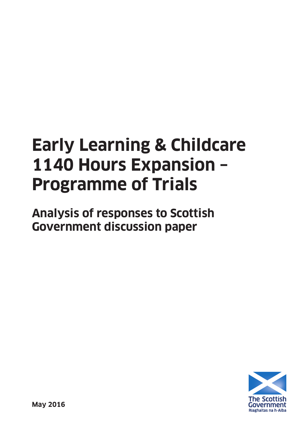# **Early Learning & Childcare 1140 Hours Expansion – Programme of Trials**

**Analysis of responses to Scottish Government discussion paper**

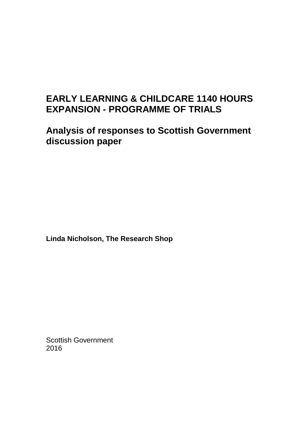### **EARLY LEARNING & CHILDCARE 1140 HOURS EXPANSION - PROGRAMME OF TRIALS**

**Analysis of responses to Scottish Government discussion paper**

**Linda Nicholson, The Research Shop**

Scottish Government 2016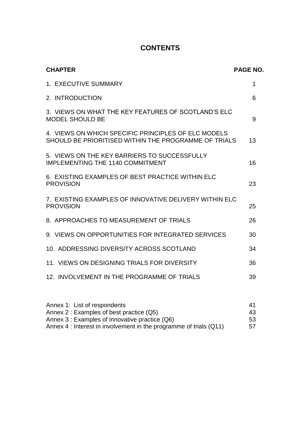### **CONTENTS**

| <b>CHAPTER</b>                                                                                              | <b>PAGE NO.</b> |
|-------------------------------------------------------------------------------------------------------------|-----------------|
| 1. EXECUTIVE SUMMARY                                                                                        | 1               |
| 2. INTRODUCTION                                                                                             | 6               |
| 3. VIEWS ON WHAT THE KEY FEATURES OF SCOTLAND'S ELC<br><b>MODEL SHOULD BE</b>                               | 9               |
| 4. VIEWS ON WHICH SPECIFIC PRINCIPLES OF ELC MODELS<br>SHOULD BE PRIORITISED WITHIN THE PROGRAMME OF TRIALS | 13              |
| 5. VIEWS ON THE KEY BARRIERS TO SUCCESSFULLY<br><b>IMPLEMENTING THE 1140 COMMITMENT</b>                     | 16              |
| 6. EXISTING EXAMPLES OF BEST PRACTICE WITHIN ELC<br><b>PROVISION</b>                                        | 23              |
| 7. EXISTING EXAMPLES OF INNOVATIVE DELIVERY WITHIN ELC<br><b>PROVISION</b>                                  | 25              |
| 8. APPROACHES TO MEASUREMENT OF TRIALS                                                                      | 26              |
| 9. VIEWS ON OPPORTUNITIES FOR INTEGRATED SERVICES                                                           | 30              |
| 10. ADDRESSING DIVERSITY ACROSS SCOTLAND                                                                    | 34              |
| 11. VIEWS ON DESIGNING TRIALS FOR DIVERSITY                                                                 | 36              |
| 12. INVOLVEMENT IN THE PROGRAMME OF TRIALS                                                                  | 39              |

| Annex 1: List of respondents                                       | 41   |
|--------------------------------------------------------------------|------|
| Annex 2: Examples of best practice (Q5)                            | 43   |
| Annex 3 : Examples of innovative practice (Q6)                     | -53. |
| Annex 4 : Interest in involvement in the programme of trials (Q11) | 57   |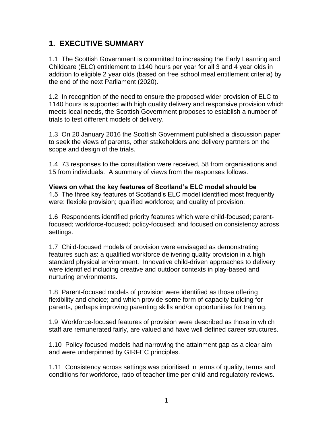### **1. EXECUTIVE SUMMARY**

1.1 The Scottish Government is committed to increasing the Early Learning and Childcare (ELC) entitlement to 1140 hours per year for all 3 and 4 year olds in addition to eligible 2 year olds (based on free school meal entitlement criteria) by the end of the next Parliament (2020).

1.2 In recognition of the need to ensure the proposed wider provision of ELC to 1140 hours is supported with high quality delivery and responsive provision which meets local needs, the Scottish Government proposes to establish a number of trials to test different models of delivery.

1.3 On 20 January 2016 the Scottish Government published a discussion paper to seek the views of parents, other stakeholders and delivery partners on the scope and design of the trials.

1.4 73 responses to the consultation were received, 58 from organisations and 15 from individuals. A summary of views from the responses follows.

**Views on what the key features of Scotland's ELC model should be** 1.5 The three key features of Scotland"s ELC model identified most frequently were: flexible provision; qualified workforce; and quality of provision.

1.6 Respondents identified priority features which were child-focused; parentfocused; workforce-focused; policy-focused; and focused on consistency across settings.

1.7 Child-focused models of provision were envisaged as demonstrating features such as: a qualified workforce delivering quality provision in a high standard physical environment. Innovative child-driven approaches to delivery were identified including creative and outdoor contexts in play-based and nurturing environments.

1.8 Parent-focused models of provision were identified as those offering flexibility and choice; and which provide some form of capacity-building for parents, perhaps improving parenting skills and/or opportunities for training.

1.9 Workforce-focused features of provision were described as those in which staff are remunerated fairly, are valued and have well defined career structures.

1.10 Policy-focused models had narrowing the attainment gap as a clear aim and were underpinned by GIRFEC principles.

1.11 Consistency across settings was prioritised in terms of quality, terms and conditions for workforce, ratio of teacher time per child and regulatory reviews.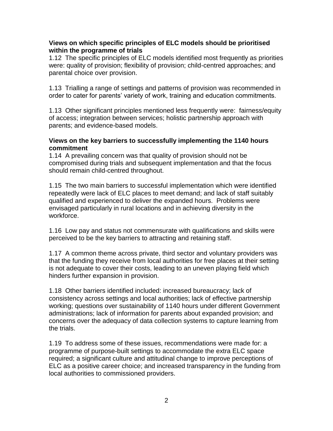### **Views on which specific principles of ELC models should be prioritised within the programme of trials**

1.12 The specific principles of ELC models identified most frequently as priorities were: quality of provision; flexibility of provision; child-centred approaches; and parental choice over provision.

1.13 Trialling a range of settings and patterns of provision was recommended in order to cater for parents' variety of work, training and education commitments.

1.13 Other significant principles mentioned less frequently were: fairness/equity of access; integration between services; holistic partnership approach with parents; and evidence-based models.

### **Views on the key barriers to successfully implementing the 1140 hours commitment**

1.14 A prevailing concern was that quality of provision should not be compromised during trials and subsequent implementation and that the focus should remain child-centred throughout.

1.15 The two main barriers to successful implementation which were identified repeatedly were lack of ELC places to meet demand; and lack of staff suitably qualified and experienced to deliver the expanded hours. Problems were envisaged particularly in rural locations and in achieving diversity in the workforce.

1.16 Low pay and status not commensurate with qualifications and skills were perceived to be the key barriers to attracting and retaining staff.

1.17 A common theme across private, third sector and voluntary providers was that the funding they receive from local authorities for free places at their setting is not adequate to cover their costs, leading to an uneven playing field which hinders further expansion in provision.

1.18 Other barriers identified included: increased bureaucracy; lack of consistency across settings and local authorities; lack of effective partnership working; questions over sustainability of 1140 hours under different Government administrations; lack of information for parents about expanded provision; and concerns over the adequacy of data collection systems to capture learning from the trials.

1.19 To address some of these issues, recommendations were made for: a programme of purpose-built settings to accommodate the extra ELC space required; a significant culture and attitudinal change to improve perceptions of ELC as a positive career choice; and increased transparency in the funding from local authorities to commissioned providers.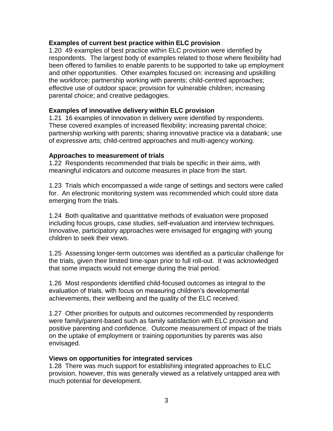### **Examples of current best practice within ELC provision**

1.20 49 examples of best practice within ELC provision were identified by respondents. The largest body of examples related to those where flexibility had been offered to families to enable parents to be supported to take up employment and other opportunities. Other examples focused on: increasing and upskilling the workforce; partnership working with parents; child-centred approaches; effective use of outdoor space; provision for vulnerable children; increasing parental choice; and creative pedagogies.

#### **Examples of innovative delivery within ELC provision**

1.21 16 examples of innovation in delivery were identified by respondents. These covered examples of increased flexibility; increasing parental choice; partnership working with parents; sharing innovative practice via a databank; use of expressive arts; child-centred approaches and multi-agency working.

#### **Approaches to measurement of trials**

1.22 Respondents recommended that trials be specific in their aims, with meaningful indicators and outcome measures in place from the start.

1.23 Trials which encompassed a wide range of settings and sectors were called for. An electronic monitoring system was recommended which could store data emerging from the trials.

1.24 Both qualitative and quantitative methods of evaluation were proposed including focus groups, case studies, self-evaluation and interview techniques. Innovative, participatory approaches were envisaged for engaging with young children to seek their views.

1.25 Assessing longer-term outcomes was identified as a particular challenge for the trials, given their limited time-span prior to full roll-out. It was acknowledged that some impacts would not emerge during the trial period.

1.26 Most respondents identified child-focused outcomes as integral to the evaluation of trials, with focus on measuring children"s developmental achievements, their wellbeing and the quality of the ELC received.

1.27 Other priorities for outputs and outcomes recommended by respondents were family/parent-based such as family satisfaction with ELC provision and positive parenting and confidence. Outcome measurement of impact of the trials on the uptake of employment or training opportunities by parents was also envisaged.

#### **Views on opportunities for integrated services**

1.28 There was much support for establishing integrated approaches to ELC provision, however, this was generally viewed as a relatively untapped area with much potential for development.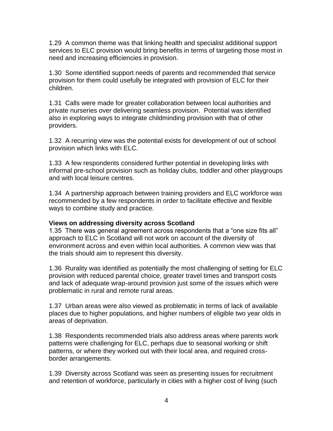1.29 A common theme was that linking health and specialist additional support services to ELC provision would bring benefits in terms of targeting those most in need and increasing efficiencies in provision.

1.30 Some identified support needs of parents and recommended that service provision for them could usefully be integrated with provision of ELC for their children.

1.31 Calls were made for greater collaboration between local authorities and private nurseries over delivering seamless provision. Potential was identified also in exploring ways to integrate childminding provision with that of other providers.

1.32 A recurring view was the potential exists for development of out of school provision which links with ELC.

1.33 A few respondents considered further potential in developing links with informal pre-school provision such as holiday clubs, toddler and other playgroups and with local leisure centres.

1.34 A partnership approach between training providers and ELC workforce was recommended by a few respondents in order to facilitate effective and flexible ways to combine study and practice.

### **Views on addressing diversity across Scotland**

1.35 There was general agreement across respondents that a "one size fits all" approach to ELC in Scotland will not work on account of the diversity of environment across and even within local authorities. A common view was that the trials should aim to represent this diversity.

1.36 Rurality was identified as potentially the most challenging of setting for ELC provision with reduced parental choice, greater travel times and transport costs and lack of adequate wrap-around provision just some of the issues which were problematic in rural and remote rural areas.

1.37 Urban areas were also viewed as problematic in terms of lack of available places due to higher populations, and higher numbers of eligible two year olds in areas of deprivation.

1.38 Respondents recommended trials also address areas where parents work patterns were challenging for ELC, perhaps due to seasonal working or shift patterns, or where they worked out with their local area, and required crossborder arrangements.

1.39 Diversity across Scotland was seen as presenting issues for recruitment and retention of workforce, particularly in cities with a higher cost of living (such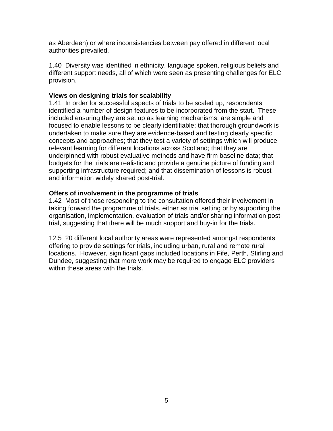as Aberdeen) or where inconsistencies between pay offered in different local authorities prevailed.

1.40 Diversity was identified in ethnicity, language spoken, religious beliefs and different support needs, all of which were seen as presenting challenges for ELC provision.

### **Views on designing trials for scalability**

1.41 In order for successful aspects of trials to be scaled up, respondents identified a number of design features to be incorporated from the start. These included ensuring they are set up as learning mechanisms; are simple and focused to enable lessons to be clearly identifiable; that thorough groundwork is undertaken to make sure they are evidence-based and testing clearly specific concepts and approaches; that they test a variety of settings which will produce relevant learning for different locations across Scotland; that they are underpinned with robust evaluative methods and have firm baseline data; that budgets for the trials are realistic and provide a genuine picture of funding and supporting infrastructure required; and that dissemination of lessons is robust and information widely shared post-trial.

### **Offers of involvement in the programme of trials**

1.42 Most of those responding to the consultation offered their involvement in taking forward the programme of trials, either as trial setting or by supporting the organisation, implementation, evaluation of trials and/or sharing information posttrial, suggesting that there will be much support and buy-in for the trials.

12.5 20 different local authority areas were represented amongst respondents offering to provide settings for trials, including urban, rural and remote rural locations. However, significant gaps included locations in Fife, Perth, Stirling and Dundee, suggesting that more work may be required to engage ELC providers within these areas with the trials.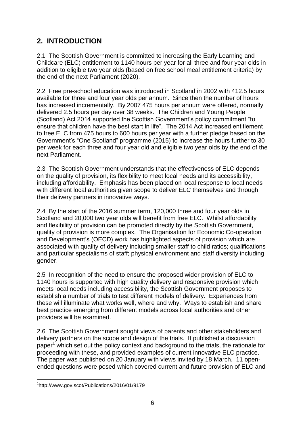### **2. INTRODUCTION**

2.1 The Scottish Government is committed to increasing the Early Learning and Childcare (ELC) entitlement to 1140 hours per year for all three and four year olds in addition to eligible two year olds (based on free school meal entitlement criteria) by the end of the next Parliament (2020).

2.2 Free pre-school education was introduced in Scotland in 2002 with 412.5 hours available for three and four year olds per annum. Since then the number of hours has increased incrementally. By 2007 475 hours per annum were offered, normally delivered 2.5 hours per day over 38 weeks. The Children and Young People (Scotland) Act 2014 supported the Scottish Government"s policy commitment "to ensure that children have the best start in life". The 2014 Act increased entitlement to free ELC from 475 hours to 600 hours per year with a further pledge based on the Government"s "One Scotland" programme (2015) to increase the hours further to 30 per week for each three and four year old and eligible two year olds by the end of the next Parliament.

2.3 The Scottish Government understands that the effectiveness of ELC depends on the quality of provision, its flexibility to meet local needs and its accessibility, including affordability. Emphasis has been placed on local response to local needs with different local authorities given scope to deliver ELC themselves and through their delivery partners in innovative ways.

2.4 By the start of the 2016 summer term, 120,000 three and four year olds in Scotland and 20,000 two year olds will benefit from free ELC. Whilst affordability and flexibility of provision can be promoted directly by the Scottish Government, quality of provision is more complex. The Organisation for Economic Co-operation and Development's (OECD) work has highlighted aspects of provision which are associated with quality of delivery including smaller staff to child ratios; qualifications and particular specialisms of staff; physical environment and staff diversity including gender.

2.5 In recognition of the need to ensure the proposed wider provision of ELC to 1140 hours is supported with high quality delivery and responsive provision which meets local needs including accessibility, the Scottish Government proposes to establish a number of trials to test different models of delivery. Experiences from these will illuminate what works well, where and why. Ways to establish and share best practice emerging from different models across local authorities and other providers will be examined.

2.6 The Scottish Government sought views of parents and other stakeholders and delivery partners on the scope and design of the trials. It published a discussion paper<sup>1</sup> which set out the policy context and background to the trials, the rationale for proceeding with these, and provided examples of current innovative ELC practice. The paper was published on 20 January with views invited by 18 March. 11 openended questions were posed which covered current and future provision of ELC and

<sup>1</sup> 1 http://www.gov.scot/Publications/2016/01/9179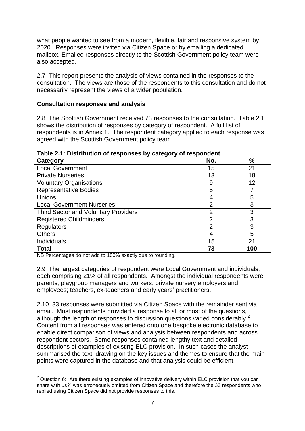what people wanted to see from a modern, flexible, fair and responsive system by 2020. Responses were invited via Citizen Space or by emailing a dedicated mailbox. Emailed responses directly to the Scottish Government policy team were also accepted.

2.7 This report presents the analysis of views contained in the responses to the consultation. The views are those of the respondents to this consultation and do not necessarily represent the views of a wider population.

### **Consultation responses and analysis**

2.8 The Scottish Government received 73 responses to the consultation. Table 2.1 shows the distribution of responses by category of respondent. A full list of respondents is in Annex 1. The respondent category applied to each response was agreed with the Scottish Government policy team.

| Category                                    | No.            | $\frac{1}{2}$ |
|---------------------------------------------|----------------|---------------|
| <b>Local Government</b>                     | 15             | 21            |
| <b>Private Nurseries</b>                    | 13             | 18            |
| <b>Voluntary Organisations</b>              | 9              | 12            |
| <b>Representative Bodies</b>                | 5              |               |
| Unions                                      | 4              | 5             |
| <b>Local Government Nurseries</b>           | 2              | 3             |
| <b>Third Sector and Voluntary Providers</b> | $\overline{2}$ | 3             |
| <b>Registered Childminders</b>              | $\overline{2}$ | 3             |
| <b>Regulators</b>                           | $\overline{2}$ | 3             |
| <b>Others</b>                               |                | 5             |
| Individuals                                 | 15             | 21            |
| <b>Total</b>                                | 73             | 100           |

**Table 2.1: Distribution of responses by category of respondent**

NB Percentages do not add to 100% exactly due to rounding.

2.9 The largest categories of respondent were Local Government and individuals, each comprising 21% of all respondents. Amongst the individual respondents were parents; playgroup managers and workers; private nursery employers and employees; teachers, ex-teachers and early years" practitioners.

2.10 33 responses were submitted via Citizen Space with the remainder sent via email. Most respondents provided a response to all or most of the questions, although the length of responses to discussion questions varied considerably. $^2$ Content from all responses was entered onto one bespoke electronic database to enable direct comparison of views and analysis between respondents and across respondent sectors. Some responses contained lengthy text and detailed descriptions of examples of existing ELC provision. In such cases the analyst summarised the text, drawing on the key issues and themes to ensure that the main points were captured in the database and that analysis could be efficient.

<sup>1</sup>  $2$  Question 6: "Are there existing examples of innovative delivery within ELC provision that you can share with us?" was erroneously omitted from Citizen Space and therefore the 33 respondents who replied using Citizen Space did not provide responses to this.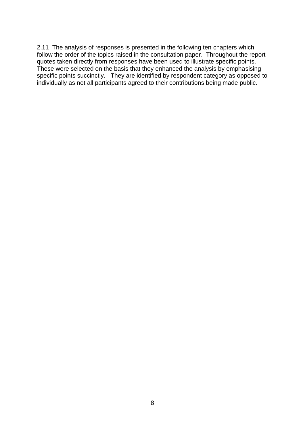2.11 The analysis of responses is presented in the following ten chapters which follow the order of the topics raised in the consultation paper. Throughout the report quotes taken directly from responses have been used to illustrate specific points. These were selected on the basis that they enhanced the analysis by emphasising specific points succinctly. They are identified by respondent category as opposed to individually as not all participants agreed to their contributions being made public.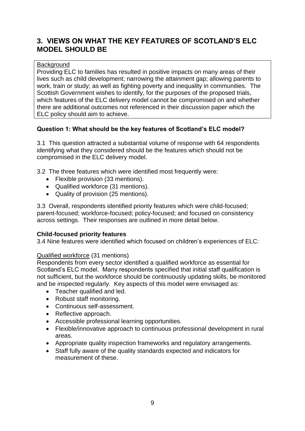### **3. VIEWS ON WHAT THE KEY FEATURES OF SCOTLAND'S ELC MODEL SHOULD BE**

### **Background**

Providing ELC to families has resulted in positive impacts on many areas of their lives such as child development; narrowing the attainment gap; allowing parents to work, train or study; as well as fighting poverty and inequality in communities. The Scottish Government wishes to identify, for the purposes of the proposed trials, which features of the ELC delivery model cannot be compromised on and whether there are additional outcomes not referenced in their discussion paper which the ELC policy should aim to achieve.

### **Question 1: What should be the key features of Scotland's ELC model?**

3.1 This question attracted a substantial volume of response with 64 respondents identifying what they considered should be the features which should not be compromised in the ELC delivery model.

3.2 The three features which were identified most frequently were:

- Flexible provision (33 mentions).
- Qualified workforce (31 mentions).
- Quality of provision (25 mentions).

3.3 Overall, respondents identified priority features which were child-focused; parent-focused; workforce-focused; policy-focused; and focused on consistency across settings. Their responses are outlined in more detail below.

### **Child-focused priority features**

3.4 Nine features were identified which focused on children"s experiences of ELC:

### Qualified workforce (31 mentions)

Respondents from every sector identified a qualified workforce as essential for Scotland"s ELC model. Many respondents specified that initial staff qualification is not sufficient, but the workforce should be continuously updating skills, be monitored and be inspected regularly. Key aspects of this model were envisaged as:

- Teacher qualified and led.
- Robust staff monitoring.
- Continuous self-assessment.
- Reflective approach.
- Accessible professional learning opportunities.
- Flexible/innovative approach to continuous professional development in rural areas.
- Appropriate quality inspection frameworks and regulatory arrangements.
- Staff fully aware of the quality standards expected and indicators for measurement of these.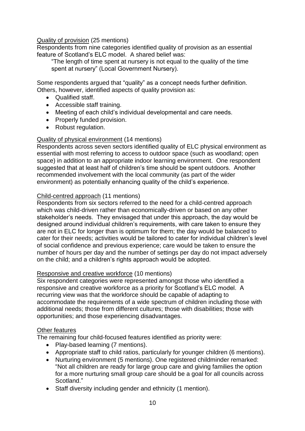### Quality of provision (25 mentions)

Respondents from nine categories identified quality of provision as an essential feature of Scotland"s ELC model. A shared belief was:

"The length of time spent at nursery is not equal to the quality of the time spent at nursery" (Local Government Nursery).

Some respondents argued that "quality" as a concept needs further definition. Others, however, identified aspects of quality provision as:

- Qualified staff.
- Accessible staff training.
- Meeting of each child"s individual developmental and care needs.
- Properly funded provision.
- Robust regulation.

### Quality of physical environment (14 mentions)

Respondents across seven sectors identified quality of ELC physical environment as essential with most referring to access to outdoor space (such as woodland; open space) in addition to an appropriate indoor learning environment. One respondent suggested that at least half of children"s time should be spent outdoors. Another recommended involvement with the local community (as part of the wider environment) as potentially enhancing quality of the child"s experience.

### Child-centred approach (11 mentions)

Respondents from six sectors referred to the need for a child-centred approach which was child-driven rather than economically-driven or based on any other stakeholder"s needs. They envisaged that under this approach, the day would be designed around individual children"s requirements, with care taken to ensure they are not in ELC for longer than is optimum for them; the day would be balanced to cater for their needs; activities would be tailored to cater for individual children"s level of social confidence and previous experience; care would be taken to ensure the number of hours per day and the number of settings per day do not impact adversely on the child; and a children"s rights approach would be adopted.

### Responsive and creative workforce (10 mentions)

Six respondent categories were represented amongst those who identified a responsive and creative workforce as a priority for Scotland"s ELC model. A recurring view was that the workforce should be capable of adapting to accommodate the requirements of a wide spectrum of children including those with additional needs; those from different cultures; those with disabilities; those with opportunities; and those experiencing disadvantages.

### **Other features**

The remaining four child-focused features identified as priority were:

- Play-based learning (7 mentions).
- Appropriate staff to child ratios, particularly for younger children (6 mentions).
- Nurturing environment (5 mentions). One registered childminder remarked: "Not all children are ready for large group care and giving families the option for a more nurturing small group care should be a goal for all councils across Scotland."
- Staff diversity including gender and ethnicity (1 mention).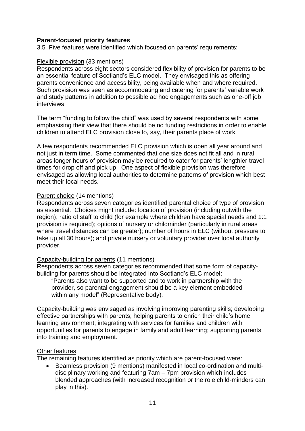### **Parent-focused priority features**

3.5 Five features were identified which focused on parents' requirements:

### Flexible provision (33 mentions)

Respondents across eight sectors considered flexibility of provision for parents to be an essential feature of Scotland"s ELC model. They envisaged this as offering parents convenience and accessibility, being available when and where required. Such provision was seen as accommodating and catering for parents' variable work and study patterns in addition to possible ad hoc engagements such as one-off job interviews.

The term "funding to follow the child" was used by several respondents with some emphasising their view that there should be no funding restrictions in order to enable children to attend ELC provision close to, say, their parents place of work.

A few respondents recommended ELC provision which is open all year around and not just in term time. Some commented that one size does not fit all and in rural areas longer hours of provision may be required to cater for parents' lengthier travel times for drop off and pick up. One aspect of flexible provision was therefore envisaged as allowing local authorities to determine patterns of provision which best meet their local needs.

#### Parent choice (14 mentions)

Respondents across seven categories identified parental choice of type of provision as essential. Choices might include: location of provision (including outwith the region); ratio of staff to child (for example where children have special needs and 1:1 provision is required); options of nursery or childminder (particularly in rural areas where travel distances can be greater); number of hours in ELC (without pressure to take up all 30 hours); and private nursery or voluntary provider over local authority provider.

#### Capacity-building for parents (11 mentions)

Respondents across seven categories recommended that some form of capacitybuilding for parents should be integrated into Scotland"s ELC model:

"Parents also want to be supported and to work in partnership with the provider, so parental engagement should be a key element embedded within any model" (Representative body).

Capacity-building was envisaged as involving improving parenting skills; developing effective partnerships with parents; helping parents to enrich their child"s home learning environment; integrating with services for families and children with opportunities for parents to engage in family and adult learning; supporting parents into training and employment.

### Other features

The remaining features identified as priority which are parent-focused were:

 Seamless provision (9 mentions) manifested in local co-ordination and multidisciplinary working and featuring 7am – 7pm provision which includes blended approaches (with increased recognition or the role child-minders can play in this).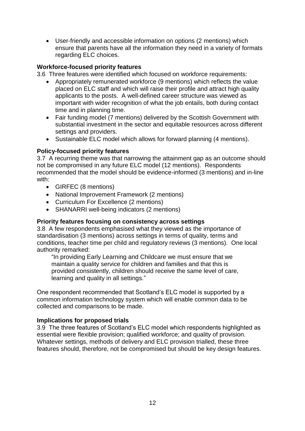User-friendly and accessible information on options (2 mentions) which ensure that parents have all the information they need in a variety of formats regarding ELC choices.

### **Workforce-focused priority features**

3.6 Three features were identified which focused on workforce requirements:

- Appropriately remunerated workforce (9 mentions) which reflects the value placed on ELC staff and which will raise their profile and attract high quality applicants to the posts. A well-defined career structure was viewed as important with wider recognition of what the job entails, both during contact time and in planning time.
- Fair funding model (7 mentions) delivered by the Scottish Government with substantial investment in the sector and equitable resources across different settings and providers.
- Sustainable ELC model which allows for forward planning (4 mentions).

### **Policy-focused priority features**

3.7 A recurring theme was that narrowing the attainment gap as an outcome should not be compromised in any future ELC model (12 mentions). Respondents recommended that the model should be evidence-informed (3 mentions) and in-line with:

- GIRFEC (8 mentions)
- National Improvement Framework (2 mentions)
- Curriculum For Excellence (2 mentions)
- SHANARRI well-being indicators (2 mentions)

### **Priority features focusing on consistency across settings**

3.8 A few respondents emphasised what they viewed as the importance of standardisation (3 mentions) across settings in terms of quality, terms and conditions, teacher time per child and regulatory reviews (3 mentions). One local authority remarked:

"In providing Early Learning and Childcare we must ensure that we maintain a quality service for children and families and that this is provided consistently, children should receive the same level of care, learning and quality in all settings."

One respondent recommended that Scotland"s ELC model is supported by a common information technology system which will enable common data to be collected and comparisons to be made.

### **Implications for proposed trials**

3.9 The three features of Scotland"s ELC model which respondents highlighted as essential were flexible provision; qualified workforce; and quality of provision. Whatever settings, methods of delivery and ELC provision trialled, these three features should, therefore, not be compromised but should be key design features.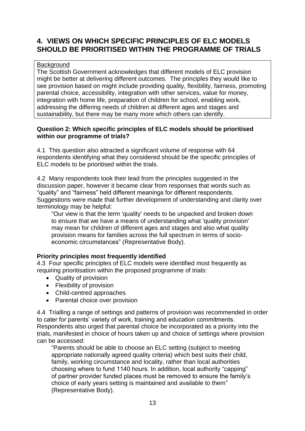### **4. VIEWS ON WHICH SPECIFIC PRINCIPLES OF ELC MODELS SHOULD BE PRIORITISED WITHIN THE PROGRAMME OF TRIALS**

### **Background**

The Scottish Government acknowledges that different models of ELC provision might be better at delivering different outcomes. The principles they would like to see provision based on might include providing quality, flexibility, fairness, promoting parental choice, accessibility, integration with other services, value for money, integration with home life, preparation of children for school, enabling work, addressing the differing needs of children at different ages and stages and sustainability, but there may be many more which others can identify.

### **Question 2: Which specific principles of ELC models should be prioritised within our programme of trials?**

4.1 This question also attracted a significant volume of response with 64 respondents identifying what they considered should be the specific principles of ELC models to be prioritised within the trials.

4.2 Many respondents took their lead from the principles suggested in the discussion paper, however it became clear from responses that words such as "quality" and "fairness" held different meanings for different respondents. Suggestions were made that further development of understanding and clarity over terminology may be helpful:

"Our view is that the term 'quality' needs to be unpacked and broken down to ensure that we have a means of understanding what 'quality provision' may mean for children of different ages and stages and also what quality provision means for families across the full spectrum in terms of socioeconomic circumstances" (Representative Body).

### **Priority principles most frequently identified**

4.3 Four specific principles of ELC models were identified most frequently as requiring prioritisation within the proposed programme of trials:

- Quality of provision
- Flexibility of provision
- Child-centred approaches
- Parental choice over provision

4.4 Trialling a range of settings and patterns of provision was recommended in order to cater for parents' variety of work, training and education commitments. Respondents also urged that parental choice be incorporated as a priority into the trials, manifested in choice of hours taken up and choice of settings where provision can be accessed:

"Parents should be able to choose an ELC setting (subject to meeting appropriate nationally agreed quality criteria) which best suits their child, family, working circumstance and locality, rather than local authorities choosing where to fund 1140 hours. In addition, local authority "capping" of partner provider funded places must be removed to ensure the family"s choice of early years setting is maintained and available to them" (Representative Body).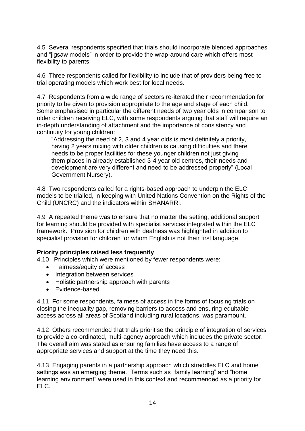4.5 Several respondents specified that trials should incorporate blended approaches and "jigsaw models" in order to provide the wrap-around care which offers most flexibility to parents.

4.6 Three respondents called for flexibility to include that of providers being free to trial operating models which work best for local needs.

4.7 Respondents from a wide range of sectors re-iterated their recommendation for priority to be given to provision appropriate to the age and stage of each child. Some emphasised in particular the different needs of two year olds in comparison to older children receiving ELC, with some respondents arguing that staff will require an in-depth understanding of attachment and the importance of consistency and continuity for young children:

"Addressing the need of 2, 3 and 4 year olds is most definitely a priority, having 2 years mixing with older children is causing difficulties and there needs to be proper facilities for these younger children not just giving them places in already established 3-4 year old centres, their needs and development are very different and need to be addressed properly" (Local Government Nursery).

4.8 Two respondents called for a rights-based approach to underpin the ELC models to be trialled, in keeping with United Nations Convention on the Rights of the Child (UNCRC) and the indicators within SHANARRI.

4.9 A repeated theme was to ensure that no matter the setting, additional support for learning should be provided with specialist services integrated within the ELC framework. Provision for children with deafness was highlighted in addition to specialist provision for children for whom English is not their first language.

### **Priority principles raised less frequently**

4.10 Principles which were mentioned by fewer respondents were:

- Fairness/equity of access
- Integration between services
- Holistic partnership approach with parents
- Evidence-based

4.11 For some respondents, fairness of access in the forms of focusing trials on closing the inequality gap, removing barriers to access and ensuring equitable access across all areas of Scotland including rural locations, was paramount.

4.12 Others recommended that trials prioritise the principle of integration of services to provide a co-ordinated, multi-agency approach which includes the private sector. The overall aim was stated as ensuring families have access to a range of appropriate services and support at the time they need this.

4.13 Engaging parents in a partnership approach which straddles ELC and home settings was an emerging theme. Terms such as "family learning" and "home learning environment" were used in this context and recommended as a priority for ELC.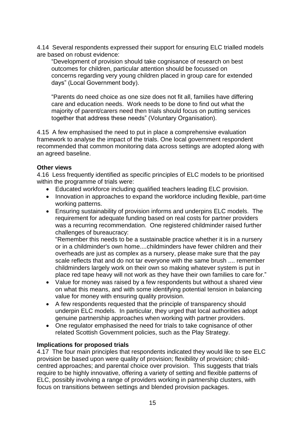4.14 Several respondents expressed their support for ensuring ELC trialled models are based on robust evidence:

"Development of provision should take cognisance of research on best outcomes for children, particular attention should be focussed on concerns regarding very young children placed in group care for extended days" (Local Government body).

"Parents do need choice as one size does not fit all, families have differing care and education needs. Work needs to be done to find out what the majority of parent/carers need then trials should focus on putting services together that address these needs" (Voluntary Organisation).

4.15 A few emphasised the need to put in place a comprehensive evaluation framework to analyse the impact of the trials. One local government respondent recommended that common monitoring data across settings are adopted along with an agreed baseline.

### **Other views**

4.16 Less frequently identified as specific principles of ELC models to be prioritised within the programme of trials were:

- Educated workforce including qualified teachers leading ELC provision.
- Innovation in approaches to expand the workforce including flexible, part-time working patterns.
- Ensuring sustainability of provision informs and underpins ELC models. The requirement for adequate funding based on real costs for partner providers was a recurring recommendation. One registered childminder raised further challenges of bureaucracy:

"Remember this needs to be a sustainable practice whether it is in a nursery or in a childminder's own home....childminders have fewer children and their overheads are just as complex as a nursery, please make sure that the pay scale reflects that and do not tar everyone with the same brush .... remember childminders largely work on their own so making whatever system is put in place red tape heavy will not work as they have their own families to care for."

- Value for money was raised by a few respondents but without a shared view on what this means, and with some identifying potential tension in balancing value for money with ensuring quality provision.
- A few respondents requested that the principle of transparency should underpin ELC models. In particular, they urged that local authorities adopt genuine partnership approaches when working with partner providers.
- One regulator emphasised the need for trials to take cognisance of other related Scottish Government policies, such as the Play Strategy.

### **Implications for proposed trials**

4.17 The four main principles that respondents indicated they would like to see ELC provision be based upon were quality of provision; flexibility of provision; childcentred approaches; and parental choice over provision. This suggests that trials require to be highly innovative, offering a variety of setting and flexible patterns of ELC, possibly involving a range of providers working in partnership clusters, with focus on transitions between settings and blended provision packages.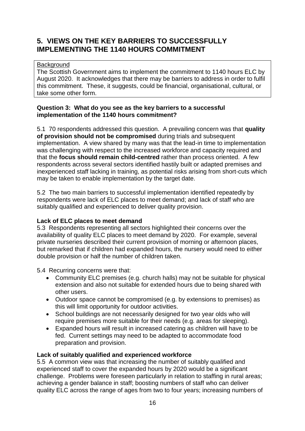### **5. VIEWS ON THE KEY BARRIERS TO SUCCESSFULLY IMPLEMENTING THE 1140 HOURS COMMITMENT**

### **Background**

The Scottish Government aims to implement the commitment to 1140 hours ELC by August 2020. It acknowledges that there may be barriers to address in order to fulfil this commitment. These, it suggests, could be financial, organisational, cultural, or take some other form.

### **Question 3: What do you see as the key barriers to a successful implementation of the 1140 hours commitment?**

5.1 70 respondents addressed this question. A prevailing concern was that **quality of provision should not be compromised** during trials and subsequent implementation. A view shared by many was that the lead-in time to implementation was challenging with respect to the increased workforce and capacity required and that the **focus should remain child-centred** rather than process oriented. A few respondents across several sectors identified hastily built or adapted premises and inexperienced staff lacking in training, as potential risks arising from short-cuts which may be taken to enable implementation by the target date.

5.2 The two main barriers to successful implementation identified repeatedly by respondents were lack of ELC places to meet demand; and lack of staff who are suitably qualified and experienced to deliver quality provision.

### **Lack of ELC places to meet demand**

5.3 Respondents representing all sectors highlighted their concerns over the availability of quality ELC places to meet demand by 2020. For example, several private nurseries described their current provision of morning or afternoon places, but remarked that if children had expanded hours, the nursery would need to either double provision or half the number of children taken.

5.4 Recurring concerns were that:

- Community ELC premises (e.g. church halls) may not be suitable for physical extension and also not suitable for extended hours due to being shared with other users.
- Outdoor space cannot be compromised (e.g. by extensions to premises) as this will limit opportunity for outdoor activities.
- School buildings are not necessarily designed for two year olds who will require premises more suitable for their needs (e.g. areas for sleeping).
- Expanded hours will result in increased catering as children will have to be fed. Current settings may need to be adapted to accommodate food preparation and provision.

### **Lack of suitably qualified and experienced workforce**

5.5 A common view was that increasing the number of suitably qualified and experienced staff to cover the expanded hours by 2020 would be a significant challenge. Problems were foreseen particularly in relation to staffing in rural areas; achieving a gender balance in staff; boosting numbers of staff who can deliver quality ELC across the range of ages from two to four years; increasing numbers of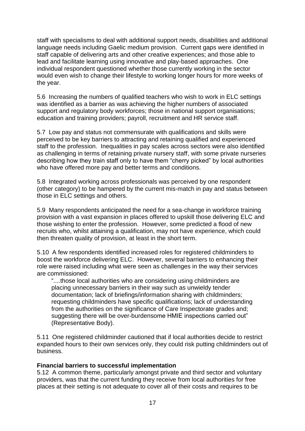staff with specialisms to deal with additional support needs, disabilities and additional language needs including Gaelic medium provision. Current gaps were identified in staff capable of delivering arts and other creative experiences; and those able to lead and facilitate learning using innovative and play-based approaches. One individual respondent questioned whether those currently working in the sector would even wish to change their lifestyle to working longer hours for more weeks of the year.

5.6 Increasing the numbers of qualified teachers who wish to work in ELC settings was identified as a barrier as was achieving the higher numbers of associated support and regulatory body workforces; those in national support organisations; education and training providers; payroll, recruitment and HR service staff.

5.7 Low pay and status not commensurate with qualifications and skills were perceived to be key barriers to attracting and retaining qualified and experienced staff to the profession. Inequalities in pay scales across sectors were also identified as challenging in terms of retaining private nursery staff, with some private nurseries describing how they train staff only to have them "cherry picked" by local authorities who have offered more pay and better terms and conditions.

5.8 Integrated working across professionals was perceived by one respondent (other category) to be hampered by the current mis-match in pay and status between those in ELC settings and others.

5.9 Many respondents anticipated the need for a sea-change in workforce training provision with a vast expansion in places offered to upskill those delivering ELC and those wishing to enter the profession. However, some predicted a flood of new recruits who, whilst attaining a qualification, may not have experience, which could then threaten quality of provision, at least in the short term.

5.10 A few respondents identified increased roles for registered childminders to boost the workforce delivering ELC. However, several barriers to enhancing their role were raised including what were seen as challenges in the way their services are commissioned:

"....those local authorities who are considering using childminders are placing unnecessary barriers in their way such as unwieldy tender documentation; lack of briefings/information sharing with childminders; requesting childminders have specific qualifications; lack of understanding from the authorities on the significance of Care Inspectorate grades and; suggesting there will be over-burdensome HMIE inspections carried out" (Representative Body).

5.11 One registered childminder cautioned that if local authorities decide to restrict expanded hours to their own services only, they could risk putting childminders out of business.

### **Financial barriers to successful implementation**

5.12 A common theme, particularly amongst private and third sector and voluntary providers, was that the current funding they receive from local authorities for free places at their setting is not adequate to cover all of their costs and requires to be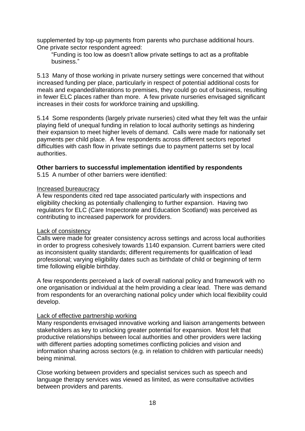supplemented by top-up payments from parents who purchase additional hours. One private sector respondent agreed:

"Funding is too low as doesn"t allow private settings to act as a profitable business."

5.13 Many of those working in private nursery settings were concerned that without increased funding per place, particularly in respect of potential additional costs for meals and expanded/alterations to premises, they could go out of business, resulting in fewer ELC places rather than more. A few private nurseries envisaged significant increases in their costs for workforce training and upskilling.

5.14 Some respondents (largely private nurseries) cited what they felt was the unfair playing field of unequal funding in relation to local authority settings as hindering their expansion to meet higher levels of demand. Calls were made for nationally set payments per child place. A few respondents across different sectors reported difficulties with cash flow in private settings due to payment patterns set by local authorities.

### **Other barriers to successful implementation identified by respondents**

5.15 A number of other barriers were identified:

#### Increased bureaucracy

A few respondents cited red tape associated particularly with inspections and eligibility checking as potentially challenging to further expansion. Having two regulators for ELC (Care Inspectorate and Education Scotland) was perceived as contributing to increased paperwork for providers.

#### Lack of consistency

Calls were made for greater consistency across settings and across local authorities in order to progress cohesively towards 1140 expansion. Current barriers were cited as inconsistent quality standards; different requirements for qualification of lead professional; varying eligibility dates such as birthdate of child or beginning of term time following eligible birthday.

A few respondents perceived a lack of overall national policy and framework with no one organisation or individual at the helm providing a clear lead. There was demand from respondents for an overarching national policy under which local flexibility could develop.

### Lack of effective partnership working

Many respondents envisaged innovative working and liaison arrangements between stakeholders as key to unlocking greater potential for expansion. Most felt that productive relationships between local authorities and other providers were lacking with different parties adopting sometimes conflicting policies and vision and information sharing across sectors (e.g. in relation to children with particular needs) being minimal.

Close working between providers and specialist services such as speech and language therapy services was viewed as limited, as were consultative activities between providers and parents.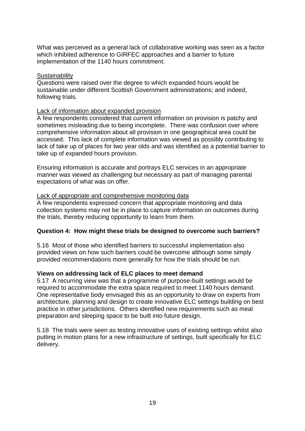What was perceived as a general lack of collaborative working was seen as a factor which inhibited adherence to GIRFEC approaches and a barrier to future implementation of the 1140 hours commitment.

### **Sustainability**

Questions were raised over the degree to which expanded hours would be sustainable under different Scottish Government administrations; and indeed, following trials.

#### Lack of information about expanded provision

A few respondents considered that current information on provision is patchy and sometimes misleading due to being incomplete. There was confusion over where comprehensive information about all provision in one geographical area could be accessed. This lack of complete information was viewed as possibly contributing to lack of take up of places for two year olds and was identified as a potential barrier to take up of expanded hours provision.

Ensuring information is accurate and portrays ELC services in an appropriate manner was viewed as challenging but necessary as part of managing parental expectations of what was on offer.

#### Lack of appropriate and comprehensive monitoring data

A few respondents expressed concern that appropriate monitoring and data collection systems may not be in place to capture information on outcomes during the trials, thereby reducing opportunity to learn from them.

### **Question 4: How might these trials be designed to overcome such barriers?**

5.16 Most of those who identified barriers to successful implementation also provided views on how such barriers could be overcome although some simply provided recommendations more generally for how the trials should be run.

### **Views on addressing lack of ELC places to meet demand**

5.17 A recurring view was that a programme of purpose-built settings would be required to accommodate the extra space required to meet 1140 hours demand. One representative body envisaged this as an opportunity to draw on experts from architecture, planning and design to create innovative ELC settings building on best practice in other jurisdictions. Others identified new requirements such as meal preparation and sleeping space to be built into future design.

5.18 The trials were seen as testing innovative uses of existing settings whilst also putting in motion plans for a new infrastructure of settings, built specifically for ELC delivery.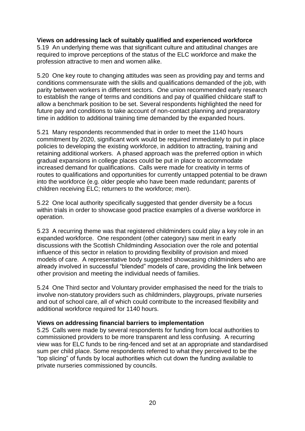### **Views on addressing lack of suitably qualified and experienced workforce**

5.19 An underlying theme was that significant culture and attitudinal changes are required to improve perceptions of the status of the ELC workforce and make the profession attractive to men and women alike.

5.20 One key route to changing attitudes was seen as providing pay and terms and conditions commensurate with the skills and qualifications demanded of the job, with parity between workers in different sectors. One union recommended early research to establish the range of terms and conditions and pay of qualified childcare staff to allow a benchmark position to be set. Several respondents highlighted the need for future pay and conditions to take account of non-contact planning and preparatory time in addition to additional training time demanded by the expanded hours.

5.21 Many respondents recommended that in order to meet the 1140 hours commitment by 2020, significant work would be required immediately to put in place policies to developing the existing workforce, in addition to attracting, training and retaining additional workers. A phased approach was the preferred option in which gradual expansions in college places could be put in place to accommodate increased demand for qualifications. Calls were made for creativity in terms of routes to qualifications and opportunities for currently untapped potential to be drawn into the workforce (e.g. older people who have been made redundant; parents of children receiving ELC; returners to the workforce; men).

5.22 One local authority specifically suggested that gender diversity be a focus within trials in order to showcase good practice examples of a diverse workforce in operation.

5.23 A recurring theme was that registered childminders could play a key role in an expanded workforce. One respondent (other category) saw merit in early discussions with the Scottish Childminding Association over the role and potential influence of this sector in relation to providing flexibility of provision and mixed models of care. A representative body suggested showcasing childminders who are already involved in successful "blended" models of care, providing the link between other provision and meeting the individual needs of families.

5.24 One Third sector and Voluntary provider emphasised the need for the trials to involve non-statutory providers such as childminders, playgroups, private nurseries and out of school care, all of which could contribute to the increased flexibility and additional workforce required for 1140 hours.

### **Views on addressing financial barriers to implementation**

5.25 Calls were made by several respondents for funding from local authorities to commissioned providers to be more transparent and less confusing. A recurring view was for ELC funds to be ring-fenced and set at an appropriate and standardised sum per child place. Some respondents referred to what they perceived to be the "top slicing" of funds by local authorities which cut down the funding available to private nurseries commissioned by councils.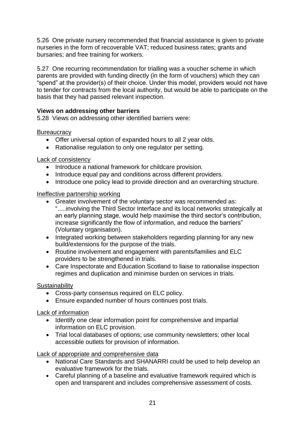5.26 One private nursery recommended that financial assistance is given to private nurseries in the form of recoverable VAT; reduced business rates; grants and bursaries; and free training for workers.

5.27 One recurring recommendation for trialling was a voucher scheme in which parents are provided with funding directly (in the form of vouchers) which they can "spend" at the provider(s) of their choice. Under this model, providers would not have to tender for contracts from the local authority, but would be able to participate on the basis that they had passed relevant inspection.

### **Views on addressing other barriers**

5.28 Views on addressing other identified barriers were:

### **Bureaucracy**

- Offer universal option of expanded hours to all 2 year olds.
- Rationalise regulation to only one regulator per setting.

### Lack of consistency

- Introduce a national framework for childcare provision.
- Introduce equal pay and conditions across different providers.
- Introduce one policy lead to provide direction and an overarching structure.

### Ineffective partnership working

- Greater involvement of the voluntary sector was recommended as: ".....involving the Third Sector Interface and its local networks strategically at an early planning stage, would help maximise the third sector's contribution, increase significantly the flow of information, and reduce the barriers" (Voluntary organisation).
- Integrated working between stakeholders regarding planning for any new build/extensions for the purpose of the trials.
- Routine involvement and engagement with parents/families and ELC providers to be strengthened in trials.
- Care Inspectorate and Education Scotland to liaise to rationalise inspection regimes and duplication and minimise burden on services in trials.

### **Sustainability**

- Cross-party consensus required on ELC policy.
- Ensure expanded number of hours continues post trials.

### Lack of information

- Identify one clear information point for comprehensive and impartial information on ELC provision.
- Trial local databases of options; use community newsletters; other local accessible outlets for provision of information.

Lack of appropriate and comprehensive data

- National Care Standards and SHANARRI could be used to help develop an evaluative framework for the trials.
- Careful planning of a baseline and evaluative framework required which is open and transparent and includes comprehensive assessment of costs.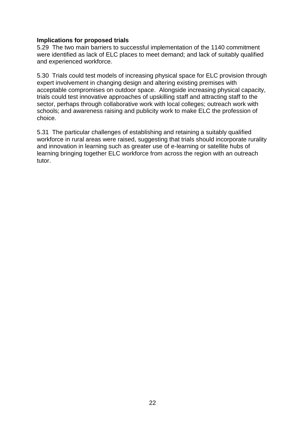### **Implications for proposed trials**

5.29 The two main barriers to successful implementation of the 1140 commitment were identified as lack of ELC places to meet demand; and lack of suitably qualified and experienced workforce.

5.30 Trials could test models of increasing physical space for ELC provision through expert involvement in changing design and altering existing premises with acceptable compromises on outdoor space. Alongside increasing physical capacity, trials could test innovative approaches of upskilling staff and attracting staff to the sector, perhaps through collaborative work with local colleges; outreach work with schools; and awareness raising and publicity work to make ELC the profession of choice.

5.31 The particular challenges of establishing and retaining a suitably qualified workforce in rural areas were raised, suggesting that trials should incorporate rurality and innovation in learning such as greater use of e-learning or satellite hubs of learning bringing together ELC workforce from across the region with an outreach tutor.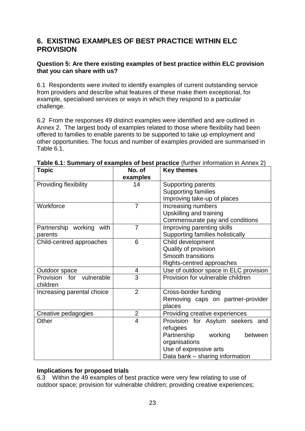### **6. EXISTING EXAMPLES OF BEST PRACTICE WITHIN ELC PROVISION**

### **Question 5: Are there existing examples of best practice within ELC provision that you can share with us?**

6.1 Respondents were invited to identify examples of current outstanding service from providers and describe what features of these make them exceptional, for example, specialised services or ways in which they respond to a particular challenge.

6.2 From the responses 49 distinct examples were identified and are outlined in Annex 2. The largest body of examples related to those where flexibility had been offered to families to enable parents to be supported to take up employment and other opportunities. The focus and number of examples provided are summarised in Table 6.1.

| Topic                       | No. of         | <b>Key themes</b>                     |  |
|-----------------------------|----------------|---------------------------------------|--|
|                             | examples       |                                       |  |
| Providing flexibility       | 14             | <b>Supporting parents</b>             |  |
|                             |                | <b>Supporting families</b>            |  |
|                             |                | Improving take-up of places           |  |
| Workforce                   | $\overline{7}$ | Increasing numbers                    |  |
|                             |                | Upskilling and training               |  |
|                             |                | Commensurate pay and conditions       |  |
| Partnership working<br>with | $\overline{7}$ | Improving parenting skills            |  |
| parents                     |                | Supporting families holistically      |  |
| Child-centred approaches    | 6              | Child development                     |  |
|                             |                | Quality of provision                  |  |
|                             |                | <b>Smooth transitions</b>             |  |
|                             |                | Rights-centred approaches             |  |
| Outdoor space               | 4              | Use of outdoor space in ELC provision |  |
| Provision for vulnerable    | 3              | Provision for vulnerable children     |  |
| children                    |                |                                       |  |
| Increasing parental choice  | $\overline{2}$ | Cross-border funding                  |  |
|                             |                | Removing caps on partner-provider     |  |
|                             |                | places                                |  |
| Creative pedagogies         | $\overline{2}$ | Providing creative experiences        |  |
| Other                       | 4              | Provision for Asylum seekers and      |  |
|                             |                | refugees                              |  |
|                             |                | Partnership<br>working<br>between     |  |
|                             |                | organisations                         |  |
|                             |                | Use of expressive arts                |  |
|                             |                | Data bank – sharing information       |  |

**Table 6.1: Summary of examples of best practice** (further information in Annex 2)

### **Implications for proposed trials**

6.3 Within the 49 examples of best practice were very few relating to use of outdoor space; provision for vulnerable children; providing creative experiences;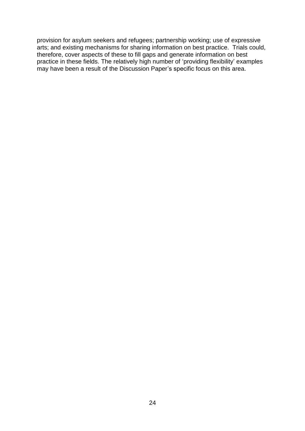provision for asylum seekers and refugees; partnership working; use of expressive arts; and existing mechanisms for sharing information on best practice. Trials could, therefore, cover aspects of these to fill gaps and generate information on best practice in these fields. The relatively high number of "providing flexibility" examples may have been a result of the Discussion Paper's specific focus on this area.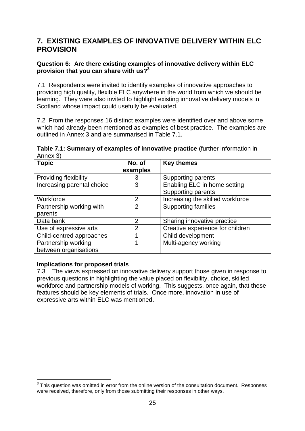### **7. EXISTING EXAMPLES OF INNOVATIVE DELIVERY WITHIN ELC PROVISION**

### **Question 6: Are there existing examples of innovative delivery within ELC provision that you can share with us?<sup>3</sup>**

7.1 Respondents were invited to identify examples of innovative approaches to providing high quality, flexible ELC anywhere in the world from which we should be learning. They were also invited to highlight existing innovative delivery models in Scotland whose impact could usefully be evaluated.

7.2 From the responses 16 distinct examples were identified over and above some which had already been mentioned as examples of best practice. The examples are outlined in Annex 3 and are summarised in Table 7.1.

| Table 7.1: Summary of examples of innovative practice (further information in |  |
|-------------------------------------------------------------------------------|--|
| Annex 3)                                                                      |  |

| <b>Topic</b>                 | No. of         | <b>Key themes</b>                |
|------------------------------|----------------|----------------------------------|
|                              | examples       |                                  |
| <b>Providing flexibility</b> | 3              | Supporting parents               |
| Increasing parental choice   | 3              | Enabling ELC in home setting     |
|                              |                | <b>Supporting parents</b>        |
| Workforce                    | $\overline{2}$ | Increasing the skilled workforce |
| Partnership working with     | 2              | <b>Supporting families</b>       |
| parents                      |                |                                  |
| Data bank                    | $\overline{2}$ | Sharing innovative practice      |
| Use of expressive arts       | 2              | Creative experience for children |
| Child-centred approaches     |                | Child development                |
| Partnership working          |                | Multi-agency working             |
| between organisations        |                |                                  |

### **Implications for proposed trials**

1

7.3 The views expressed on innovative delivery support those given in response to previous questions in highlighting the value placed on flexibility, choice, skilled workforce and partnership models of working. This suggests, once again, that these features should be key elements of trials. Once more, innovation in use of expressive arts within ELC was mentioned.

 $3$  This question was omitted in error from the online version of the consultation document. Responses were received, therefore, only from those submitting their responses in other ways.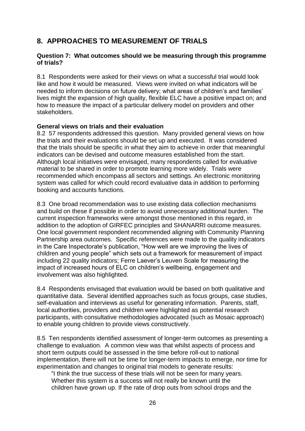### **8. APPROACHES TO MEASUREMENT OF TRIALS**

### **Question 7: What outcomes should we be measuring through this programme of trials?**

8.1 Respondents were asked for their views on what a successful trial would look like and how it would be measured. Views were invited on what indicators will be needed to inform decisions on future delivery; what areas of children's and families' lives might the expansion of high quality, flexible ELC have a positive impact on; and how to measure the impact of a particular delivery model on providers and other stakeholders.

### **General views on trials and their evaluation**

8.2 57 respondents addressed this question. Many provided general views on how the trials and their evaluations should be set up and executed. It was considered that the trials should be specific in what they aim to achieve in order that meaningful indicators can be devised and outcome measures established from the start. Although local initiatives were envisaged, many respondents called for evaluative material to be shared in order to promote learning more widely. Trials were recommended which encompass all sectors and settings. An electronic monitoring system was called for which could record evaluative data in addition to performing booking and accounts functions.

8.3 One broad recommendation was to use existing data collection mechanisms and build on these if possible in order to avoid unnecessary additional burden. The current inspection frameworks were amongst those mentioned in this regard, in addition to the adoption of GIRFEC principles and SHANARRI outcome measures. One local government respondent recommended aligning with Community Planning Partnership area outcomes. Specific references were made to the quality indicators in the Care Inspectorate's publication, "How well are we improving the lives of children and young people" which sets out a framework for measurement of impact including 22 quality indicators; Ferre Laever"s Leuven Scale for measuring the impact of increased hours of ELC on children's wellbeing, engagement and involvement was also highlighted.

8.4 Respondents envisaged that evaluation would be based on both qualitative and quantitative data. Several identified approaches such as focus groups, case studies, self-evaluation and interviews as useful for generating information. Parents, staff, local authorities, providers and children were highlighted as potential research participants, with consultative methodologies advocated (such as Mosaic approach) to enable young children to provide views constructively.

8.5 Ten respondents identified assessment of longer-term outcomes as presenting a challenge to evaluation. A common view was that whilst aspects of process and short term outputs could be assessed in the time before roll-out to national implementation, there will not be time for longer-term impacts to emerge, nor time for experimentation and changes to original trial models to generate results:

"I think the true success of these trials will not be seen for many years. Whether this system is a success will not really be known until the children have grown up. If the rate of drop outs from school drops and the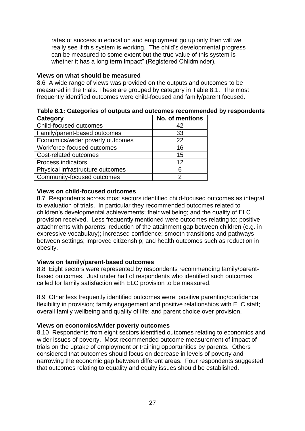rates of success in education and employment go up only then will we really see if this system is working. The child"s developmental progress can be measured to some extent but the true value of this system is whether it has a long term impact" (Registered Childminder).

### **Views on what should be measured**

8.6 A wide range of views was provided on the outputs and outcomes to be measured in the trials. These are grouped by category in Table 8.1. The most frequently identified outcomes were child-focused and family/parent focused.

| Table 8.1: Categories of outputs and outcomes recommended by respondents |  |
|--------------------------------------------------------------------------|--|
|                                                                          |  |

| <b>Category</b>                  | No. of mentions   |
|----------------------------------|-------------------|
| Child-focused outcomes           | 42                |
| Family/parent-based outcomes     | 33                |
| Economics/wider poverty outcomes | 22                |
| Workforce-focused outcomes       | 16                |
| Cost-related outcomes            | 15                |
| <b>Process indicators</b>        | $12 \overline{ }$ |
| Physical infrastructure outcomes | 6                 |
| Community-focused outcomes       | 2                 |

### **Views on child-focused outcomes**

8.7 Respondents across most sectors identified child-focused outcomes as integral to evaluation of trials. In particular they recommended outcomes related to children"s developmental achievements; their wellbeing; and the quality of ELC provision received. Less frequently mentioned were outcomes relating to: positive attachments with parents; reduction of the attainment gap between children (e.g. in expressive vocabulary); increased confidence; smooth transitions and pathways between settings; improved citizenship; and health outcomes such as reduction in obesity.

### **Views on family/parent-based outcomes**

8.8 Eight sectors were represented by respondents recommending family/parentbased outcomes. Just under half of respondents who identified such outcomes called for family satisfaction with ELC provision to be measured.

8.9 Other less frequently identified outcomes were: positive parenting/confidence; flexibility in provision; family engagement and positive relationships with ELC staff; overall family wellbeing and quality of life; and parent choice over provision.

### **Views on economics/wider poverty outcomes**

8.10 Respondents from eight sectors identified outcomes relating to economics and wider issues of poverty. Most recommended outcome measurement of impact of trials on the uptake of employment or training opportunities by parents. Others considered that outcomes should focus on decrease in levels of poverty and narrowing the economic gap between different areas. Four respondents suggested that outcomes relating to equality and equity issues should be established.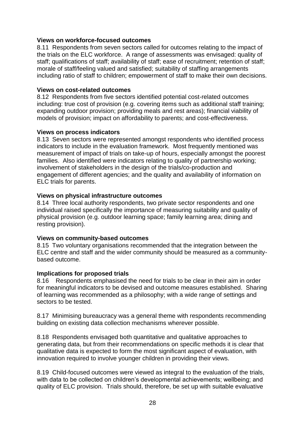### **Views on workforce-focused outcomes**

8.11 Respondents from seven sectors called for outcomes relating to the impact of the trials on the ELC workforce. A range of assessments was envisaged: quality of staff; qualifications of staff; availability of staff; ease of recruitment; retention of staff; morale of staff/feeling valued and satisfied; suitability of staffing arrangements including ratio of staff to children; empowerment of staff to make their own decisions.

#### **Views on cost-related outcomes**

8.12 Respondents from five sectors identified potential cost-related outcomes including: true cost of provision (e.g. covering items such as additional staff training; expanding outdoor provision; providing meals and rest areas); financial viability of models of provision; impact on affordability to parents; and cost-effectiveness.

#### **Views on process indicators**

8.13 Seven sectors were represented amongst respondents who identified process indicators to include in the evaluation framework. Most frequently mentioned was measurement of impact of trials on take-up of hours, especially amongst the poorest families. Also identified were indicators relating to quality of partnership working; involvement of stakeholders in the design of the trials/co-production and engagement of different agencies; and the quality and availability of information on ELC trials for parents.

#### **Views on physical infrastructure outcomes**

8.14 Three local authority respondents, two private sector respondents and one individual raised specifically the importance of measuring suitability and quality of physical provision (e.g. outdoor learning space; family learning area; dining and resting provision).

### **Views on community-based outcomes**

8.15 Two voluntary organisations recommended that the integration between the ELC centre and staff and the wider community should be measured as a communitybased outcome.

#### **Implications for proposed trials**

8.16 Respondents emphasised the need for trials to be clear in their aim in order for meaningful indicators to be devised and outcome measures established. Sharing of learning was recommended as a philosophy; with a wide range of settings and sectors to be tested.

8.17 Minimising bureaucracy was a general theme with respondents recommending building on existing data collection mechanisms wherever possible.

8.18 Respondents envisaged both quantitative and qualitative approaches to generating data, but from their recommendations on specific methods it is clear that qualitative data is expected to form the most significant aspect of evaluation, with innovation required to involve younger children in providing their views.

8.19 Child-focused outcomes were viewed as integral to the evaluation of the trials, with data to be collected on children's developmental achievements; wellbeing; and quality of ELC provision. Trials should, therefore, be set up with suitable evaluative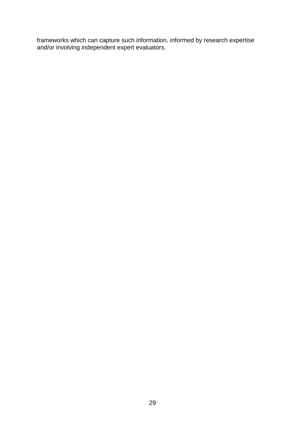frameworks which can capture such information, informed by research expertise and/or involving independent expert evaluators.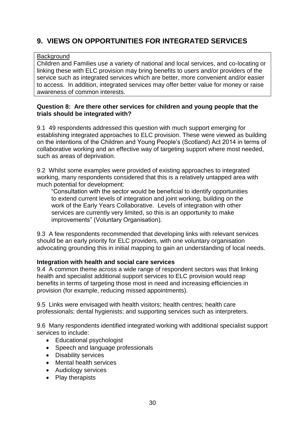### **9. VIEWS ON OPPORTUNITIES FOR INTEGRATED SERVICES**

### **Background**

Children and Families use a variety of national and local services, and co-locating or linking these with ELC provision may bring benefits to users and/or providers of the service such as integrated services which are better, more convenient and/or easier to access. In addition, integrated services may offer better value for money or raise awareness of common interests.

### **Question 8: Are there other services for children and young people that the trials should be integrated with?**

9.1 49 respondents addressed this question with much support emerging for establishing integrated approaches to ELC provision. These were viewed as building on the intentions of the Children and Young People"s (Scotland) Act 2014 in terms of collaborative working and an effective way of targeting support where most needed, such as areas of deprivation.

9.2 Whilst some examples were provided of existing approaches to integrated working, many respondents considered that this is a relatively untapped area with much potential for development:

"Consultation with the sector would be beneficial to identify opportunities to extend current levels of integration and joint working, building on the work of the Early Years Collaborative. Levels of integration with other services are currently very limited, so this is an opportunity to make improvements" (Voluntary Organisation).

9.3 A few respondents recommended that developing links with relevant services should be an early priority for ELC providers, with one voluntary organisation advocating grounding this in initial mapping to gain an understanding of local needs.

### **Integration with health and social care services**

9.4 A common theme across a wide range of respondent sectors was that linking health and specialist additional support services to ELC provision would reap benefits in terms of targeting those most in need and increasing efficiencies in provision (for example, reducing missed appointments).

9.5 Links were envisaged with health visitors; health centres; health care professionals; dental hygienists; and supporting services such as interpreters.

9.6 Many respondents identified integrated working with additional specialist support services to include:

- Educational psychologist
- Speech and language professionals
- Disability services
- Mental health services
- Audiology services
- Play therapists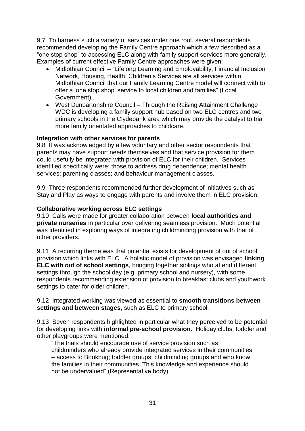9.7 To harness such a variety of services under one roof, several respondents recommended developing the Family Centre approach which a few described as a "one stop shop" to accessing ELC along with family support services more generally. Examples of current effective Family Centre approaches were given:

- Midlothian Council "Lifelong Learning and Employability, Financial Inclusion Network, Housing, Health, Children"s Services are all services within Midlothian Council that our Family Learning Centre model will connect with to offer a "one stop shop" service to local children and families" (Local Government) .
- West Dunbartonshire Council Through the Raising Attainment Challenge WDC is developing a family support hub based on two ELC centres and two primary schools in the Clydebank area which may provide the catalyst to trial more family orientated approaches to childcare.

### **Integration with other services for parents**

9.8 It was acknowledged by a few voluntary and other sector respondents that parents may have support needs themselves and that service provision for them could usefully be integrated with provision of ELC for their children. Services identified specifically were: those to address drug dependence; mental health services; parenting classes; and behaviour management classes.

9.9 Three respondents recommended further development of initiatives such as Stay and Play as ways to engage with parents and involve them in ELC provision.

#### **Collaborative working across ELC settings**

9.10 Calls were made for greater collaboration between **local authorities and private nurseries** in particular over delivering seamless provision. Much potential was identified in exploring ways of integrating childminding provision with that of other providers.

9.11 A recurring theme was that potential exists for development of out of school provision which links with ELC. A holistic model of provision was envisaged **linking ELC with out of school settings**, bringing together siblings who attend different settings through the school day (e.g. primary school and nursery), with some respondents recommending extension of provision to breakfast clubs and youthwork settings to cater for older children.

#### 9.12 Integrated working was viewed as essential to **smooth transitions between settings and between stages**, such as ELC to primary school.

9.13 Seven respondents highlighted in particular what they perceived to be potential for developing links with **informal pre-school provision**. Holiday clubs, toddler and other playgroups were mentioned:

"The trials should encourage use of service provision such as childminders who already provide integrated services in their communities – access to Bookbug; toddler groups; childminding groups and who know the families in their communities. This knowledge and experience should not be undervalued" (Representative body).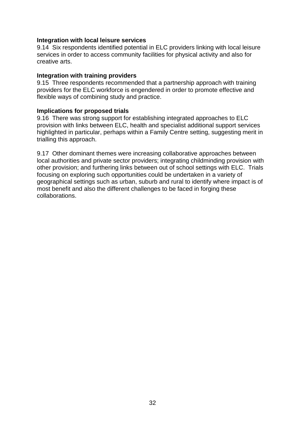### **Integration with local leisure services**

9.14 Six respondents identified potential in ELC providers linking with local leisure services in order to access community facilities for physical activity and also for creative arts.

#### **Integration with training providers**

9.15 Three respondents recommended that a partnership approach with training providers for the ELC workforce is engendered in order to promote effective and flexible ways of combining study and practice.

#### **Implications for proposed trials**

9.16 There was strong support for establishing integrated approaches to ELC provision with links between ELC, health and specialist additional support services highlighted in particular, perhaps within a Family Centre setting, suggesting merit in trialling this approach.

9.17 Other dominant themes were increasing collaborative approaches between local authorities and private sector providers; integrating childminding provision with other provision; and furthering links between out of school settings with ELC. Trials focusing on exploring such opportunities could be undertaken in a variety of geographical settings such as urban, suburb and rural to identify where impact is of most benefit and also the different challenges to be faced in forging these collaborations.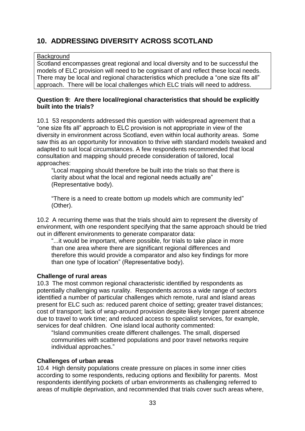### **10. ADDRESSING DIVERSITY ACROSS SCOTLAND**

### **Background**

Scotland encompasses great regional and local diversity and to be successful the models of ELC provision will need to be cognisant of and reflect these local needs. There may be local and regional characteristics which preclude a "one size fits all" approach. There will be local challenges which ELC trials will need to address.

### **Question 9: Are there local/regional characteristics that should be explicitly built into the trials?**

10.1 53 respondents addressed this question with widespread agreement that a "one size fits all" approach to ELC provision is not appropriate in view of the diversity in environment across Scotland, even within local authority areas. Some saw this as an opportunity for innovation to thrive with standard models tweaked and adapted to suit local circumstances. A few respondents recommended that local consultation and mapping should precede consideration of tailored, local approaches:

"Local mapping should therefore be built into the trials so that there is clarity about what the local and regional needs actually are" (Representative body).

"There is a need to create bottom up models which are community led" (Other).

10.2 A recurring theme was that the trials should aim to represent the diversity of environment, with one respondent specifying that the same approach should be tried out in different environments to generate comparator data:

"...it would be important, where possible, for trials to take place in more than one area where there are significant regional differences and therefore this would provide a comparator and also key findings for more than one type of location" (Representative body).

### **Challenge of rural areas**

10.3 The most common regional characteristic identified by respondents as potentially challenging was rurality. Respondents across a wide range of sectors identified a number of particular challenges which remote, rural and island areas present for ELC such as: reduced parent choice of setting; greater travel distances; cost of transport; lack of wrap-around provision despite likely longer parent absence due to travel to work time; and reduced access to specialist services, for example, services for deaf children. One island local authority commented:

"Island communities create different challenges. The small, dispersed communities with scattered populations and poor travel networks require individual approaches."

### **Challenges of urban areas**

10.4 High density populations create pressure on places in some inner cities according to some respondents, reducing options and flexibility for parents. Most respondents identifying pockets of urban environments as challenging referred to areas of multiple deprivation, and recommended that trials cover such areas where,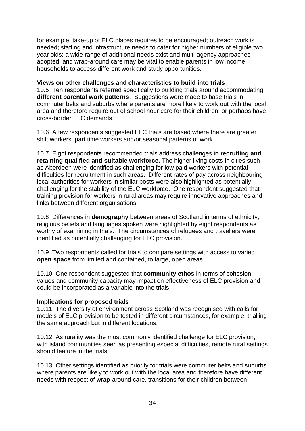for example, take-up of ELC places requires to be encouraged; outreach work is needed; staffing and infrastructure needs to cater for higher numbers of eligible two year olds; a wide range of additional needs exist and multi-agency approaches adopted; and wrap-around care may be vital to enable parents in low income households to access different work and study opportunities.

### **Views on other challenges and characteristics to build into trials**

10.5 Ten respondents referred specifically to building trials around accommodating **different parental work patterns**. Suggestions were made to base trials in commuter belts and suburbs where parents are more likely to work out with the local area and therefore require out of school hour care for their children, or perhaps have cross-border ELC demands.

10.6 A few respondents suggested ELC trials are based where there are greater shift workers, part time workers and/or seasonal patterns of work.

10.7 Eight respondents recommended trials address challenges in **recruiting and retaining qualified and suitable workforce.** The higher living costs in cities such as Aberdeen were identified as challenging for low paid workers with potential difficulties for recruitment in such areas. Different rates of pay across neighbouring local authorities for workers in similar posts were also highlighted as potentially challenging for the stability of the ELC workforce. One respondent suggested that training provision for workers in rural areas may require innovative approaches and links between different organisations.

10.8 Differences in **demography** between areas of Scotland in terms of ethnicity, religious beliefs and languages spoken were highlighted by eight respondents as worthy of examining in trials. The circumstances of refugees and travellers were identified as potentially challenging for ELC provision.

10.9 Two respondents called for trials to compare settings with access to varied **open space** from limited and contained, to large, open areas.

10.10 One respondent suggested that **community ethos** in terms of cohesion, values and community capacity may impact on effectiveness of ELC provision and could be incorporated as a variable into the trials.

### **Implications for proposed trials**

10.11 The diversity of environment across Scotland was recognised with calls for models of ELC provision to be tested in different circumstances, for example, trialling the same approach but in different locations.

10.12 As rurality was the most commonly identified challenge for ELC provision, with island communities seen as presenting especial difficulties, remote rural settings should feature in the trials.

10.13 Other settings identified as priority for trials were commuter belts and suburbs where parents are likely to work out with the local area and therefore have different needs with respect of wrap-around care, transitions for their children between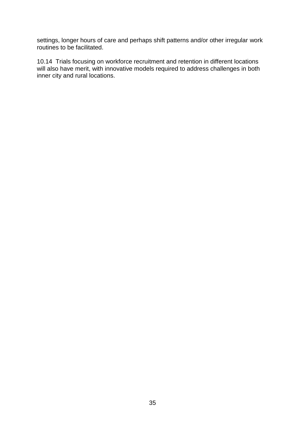settings, longer hours of care and perhaps shift patterns and/or other irregular work routines to be facilitated.

10.14 Trials focusing on workforce recruitment and retention in different locations will also have merit, with innovative models required to address challenges in both inner city and rural locations.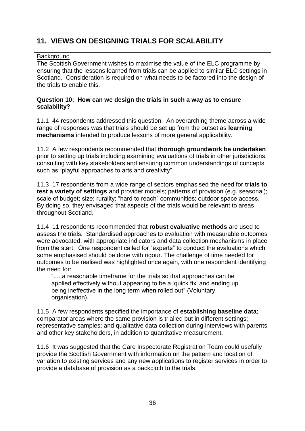### **11. VIEWS ON DESIGNING TRIALS FOR SCALABILITY**

### **Background**

The Scottish Government wishes to maximise the value of the ELC programme by ensuring that the lessons learned from trials can be applied to similar ELC settings in Scotland. Consideration is required on what needs to be factored into the design of the trials to enable this.

### **Question 10: How can we design the trials in such a way as to ensure scalability?**

11.1 44 respondents addressed this question. An overarching theme across a wide range of responses was that trials should be set up from the outset as **learning mechanisms** intended to produce lessons of more general applicability.

11.2 A few respondents recommended that **thorough groundwork be undertaken** prior to setting up trials including examining evaluations of trials in other jurisdictions, consulting with key stakeholders and ensuring common understandings of concepts such as "playful approaches to arts and creativity".

11.3 17 respondents from a wide range of sectors emphasised the need for **trials to test a variety of settings** and provider models; patterns of provision (e.g. seasonal); scale of budget; size; rurality; "hard to reach" communities; outdoor space access. By doing so, they envisaged that aspects of the trials would be relevant to areas throughout Scotland.

11.4 11 respondents recommended that **robust evaluative methods** are used to assess the trials. Standardised approaches to evaluation with measurable outcomes were advocated, with appropriate indicators and data collection mechanisms in place from the start. One respondent called for "experts" to conduct the evaluations which some emphasised should be done with rigour. The challenge of time needed for outcomes to be realised was highlighted once again, with one respondent identifying the need for:

".....a reasonable timeframe for the trials so that approaches can be applied effectively without appearing to be a "quick fix" and ending up being ineffective in the long term when rolled out" (Voluntary organisation).

11.5 A few respondents specified the importance of **establishing baseline data**; comparator areas where the same provision is trialled but in different settings; representative samples; and qualitative data collection during interviews with parents and other key stakeholders, in addition to quantitative measurement.

11.6 It was suggested that the Care Inspectorate Registration Team could usefully provide the Scottish Government with information on the pattern and location of variation to existing services and any new applications to register services in order to provide a database of provision as a backcloth to the trials.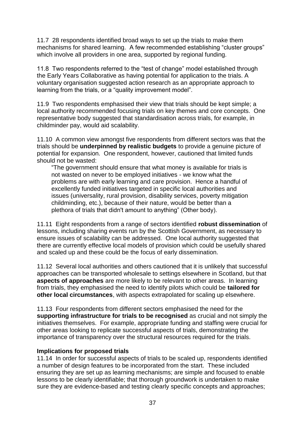11.7 28 respondents identified broad ways to set up the trials to make them mechanisms for shared learning. A few recommended establishing "cluster groups" which involve all providers in one area, supported by regional funding.

11.8 Two respondents referred to the "test of change" model established through the Early Years Collaborative as having potential for application to the trials. A voluntary organisation suggested action research as an appropriate approach to learning from the trials, or a "quality improvement model".

11.9 Two respondents emphasised their view that trials should be kept simple; a local authority recommended focusing trials on key themes and core concepts. One representative body suggested that standardisation across trials, for example, in childminder pay, would aid scalability.

11.10 A common view amongst five respondents from different sectors was that the trials should be **underpinned by realistic budgets** to provide a genuine picture of potential for expansion. One respondent, however, cautioned that limited funds should not be wasted:

"The government should ensure that what money is available for trials is not wasted on never to be employed initiatives - we know what the problems are with early learning and care provision. Hence a handful of excellently funded initiatives targeted in specific local authorities and issues (universality, rural provision, disability services, poverty mitigation childminding, etc.), because of their nature, would be better than a plethora of trials that didn't amount to anything" (Other body).

11.11 Eight respondents from a range of sectors identified **robust dissemination** of lessons, including sharing events run by the Scottish Government, as necessary to ensure issues of scalability can be addressed. One local authority suggested that there are currently effective local models of provision which could be usefully shared and scaled up and these could be the focus of early dissemination.

11.12 Several local authorities and others cautioned that it is unlikely that successful approaches can be transported wholesale to settings elsewhere in Scotland, but that **aspects of approaches** are more likely to be relevant to other areas. In learning from trials, they emphasised the need to identify pilots which could be **tailored for other local circumstances**, with aspects extrapolated for scaling up elsewhere.

11.13 Four respondents from different sectors emphasised the need for the **supporting infrastructure for trials to be recognised** as crucial and not simply the initiatives themselves. For example, appropriate funding and staffing were crucial for other areas looking to replicate successful aspects of trials, demonstrating the importance of transparency over the structural resources required for the trials.

### **Implications for proposed trials**

11.14 In order for successful aspects of trials to be scaled up, respondents identified a number of design features to be incorporated from the start. These included ensuring they are set up as learning mechanisms; are simple and focused to enable lessons to be clearly identifiable; that thorough groundwork is undertaken to make sure they are evidence-based and testing clearly specific concepts and approaches;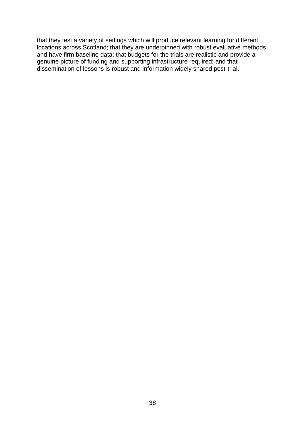that they test a variety of settings which will produce relevant learning for different locations across Scotland; that they are underpinned with robust evaluative methods and have firm baseline data; that budgets for the trials are realistic and provide a genuine picture of funding and supporting infrastructure required; and that dissemination of lessons is robust and information widely shared post-trial.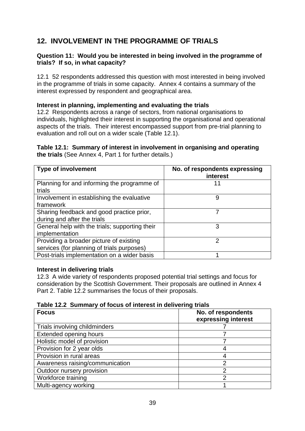### **12. INVOLVEMENT IN THE PROGRAMME OF TRIALS**

### **Question 11: Would you be interested in being involved in the programme of trials? If so, in what capacity?**

12.1 52 respondents addressed this question with most interested in being involved in the programme of trials in some capacity. Annex 4 contains a summary of the interest expressed by respondent and geographical area.

### **Interest in planning, implementing and evaluating the trials**

12.2 Respondents across a range of sectors, from national organisations to individuals, highlighted their interest in supporting the organisational and operational aspects of the trials. Their interest encompassed support from pre-trial planning to evaluation and roll out on a wider scale (Table 12.1).

### **Table 12.1: Summary of interest in involvement in organising and operating the trials** (See Annex 4, Part 1 for further details.)

| <b>Type of involvement</b>                                                            | No. of respondents expressing<br>interest |
|---------------------------------------------------------------------------------------|-------------------------------------------|
| Planning for and informing the programme of<br>trials                                 | 11                                        |
| Involvement in establishing the evaluative<br>framework                               | 9                                         |
| Sharing feedback and good practice prior,<br>during and after the trials              | 7                                         |
| General help with the trials; supporting their<br>implementation                      | 3                                         |
| Providing a broader picture of existing<br>services (for planning of trials purposes) | າ                                         |
| Post-trials implementation on a wider basis                                           |                                           |

### **Interest in delivering trials**

12.3 A wide variety of respondents proposed potential trial settings and focus for consideration by the Scottish Government. Their proposals are outlined in Annex 4 Part 2. Table 12.2 summarises the focus of their proposals.

|  |  |  | Table 12.2 Summary of focus of interest in delivering trials |
|--|--|--|--------------------------------------------------------------|
|--|--|--|--------------------------------------------------------------|

| <b>Focus</b>                    | No. of respondents<br>expressing interest |
|---------------------------------|-------------------------------------------|
| Trials involving childminders   |                                           |
| <b>Extended opening hours</b>   |                                           |
| Holistic model of provision     |                                           |
| Provision for 2 year olds       |                                           |
| Provision in rural areas        |                                           |
| Awareness raising/communication | ⌒                                         |
| Outdoor nursery provision       | 2                                         |
| Workforce training              | ∩                                         |
| Multi-agency working            |                                           |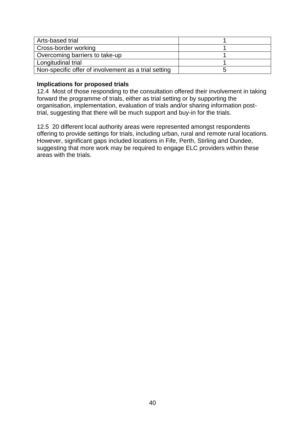| Arts-based trial                                     |  |
|------------------------------------------------------|--|
| Cross-border working                                 |  |
| Overcoming barriers to take-up                       |  |
| Longitudinal trial                                   |  |
| Non-specific offer of involvement as a trial setting |  |

### **Implications for proposed trials**

12.4 Most of those responding to the consultation offered their involvement in taking forward the programme of trials, either as trial setting or by supporting the organisation, implementation, evaluation of trials and/or sharing information posttrial, suggesting that there will be much support and buy-in for the trials.

12.5 20 different local authority areas were represented amongst respondents offering to provide settings for trials, including urban, rural and remote rural locations. However, significant gaps included locations in Fife, Perth, Stirling and Dundee, suggesting that more work may be required to engage ELC providers within these areas with the trials.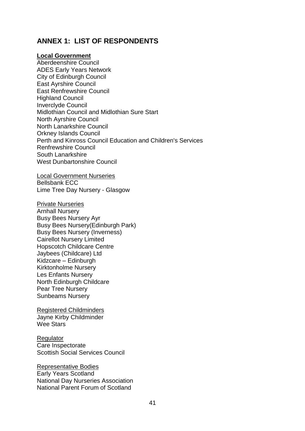### **ANNEX 1: LIST OF RESPONDENTS**

### **Local Government**

Aberdeenshire Council ADES Early Years Network City of Edinburgh Council East Ayrshire Council East Renfrewshire Council Highland Council Inverclyde Council Midlothian Council and Midlothian Sure Start North Ayrshire Council North Lanarkshire Council Orkney Islands Council Perth and Kinross Council Education and Children's Services Renfrewshire Council South Lanarkshire West Dunbartonshire Council

Local Government Nurseries Bellsbank ECC Lime Tree Day Nursery - Glasgow

Private Nurseries Arnhall Nursery Busy Bees Nursery Ayr Busy Bees Nursery(Edinburgh Park) Busy Bees Nursery (Inverness) Cairellot Nursery Limited Hopscotch Childcare Centre Jaybees (Childcare) Ltd Kidzcare – Edinburgh Kirktonholme Nursery Les Enfants Nursery North Edinburgh Childcare Pear Tree Nursery Sunbeams Nursery

Registered Childminders Jayne Kirby Childminder Wee Stars

**Regulator** Care Inspectorate

Scottish Social Services Council

Representative Bodies Early Years Scotland National Day Nurseries Association National Parent Forum of Scotland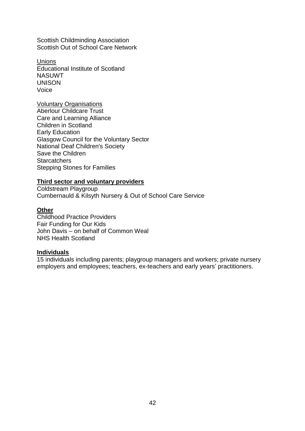Scottish Childminding Association Scottish Out of School Care Network

Unions Educational Institute of Scotland NASUWT UNISON Voice

Voluntary Organisations Aberlour Childcare Trust Care and Learning Alliance Children in Scotland Early Education Glasgow Council for the Voluntary Sector National Deaf Children's Society Save the Children **Starcatchers** Stepping Stones for Families

### **Third sector and voluntary providers**

Coldstream Playgroup Cumbernauld & Kilsyth Nursery & Out of School Care Service

### **Other**

Childhood Practice Providers Fair Funding for Our Kids John Davis – on behalf of Common Weal NHS Health Scotland

#### **Individuals**

15 individuals including parents; playgroup managers and workers; private nursery employers and employees; teachers, ex-teachers and early years' practitioners.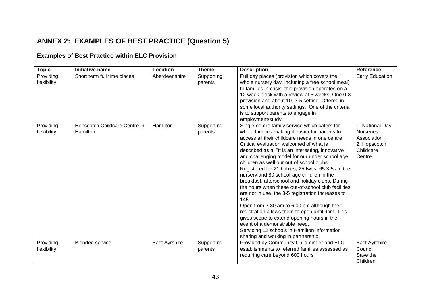### **ANNEX 2: EXAMPLES OF BEST PRACTICE (Question 5)**

### **Examples of Best Practice within ELC Provision**

| <b>Topic</b>             | Initiative name                           | <b>Location</b> | <b>Theme</b>          | <b>Description</b>                                                                                                                                                                                                                                                                                                                                                                                                                                                                                                                                                                                                                                                                                                                                                                                                                                                                                   | Reference                                                                                 |
|--------------------------|-------------------------------------------|-----------------|-----------------------|------------------------------------------------------------------------------------------------------------------------------------------------------------------------------------------------------------------------------------------------------------------------------------------------------------------------------------------------------------------------------------------------------------------------------------------------------------------------------------------------------------------------------------------------------------------------------------------------------------------------------------------------------------------------------------------------------------------------------------------------------------------------------------------------------------------------------------------------------------------------------------------------------|-------------------------------------------------------------------------------------------|
| Providing<br>flexibility | Short term full time places               | Aberdeenshire   | Supporting<br>parents | Full day places (provision which covers the<br>whole nursery day, including a free school meal)<br>to families in crisis, this provision operates on a<br>12 week block with a review at 6 weeks. One 0-3<br>provision and about 10, 3-5 setting. Offered in<br>some local authority settings. One of the criteria<br>is to support parents to engage in<br>employment/study.                                                                                                                                                                                                                                                                                                                                                                                                                                                                                                                        | Early Education                                                                           |
| Providing<br>flexibility | Hopscotch Childcare Centre in<br>Hamilton | Hamilton        | Supporting<br>parents | Single-centre family service which caters for<br>whole families making it easier for parents to<br>access all their childcare needs in one centre.<br>Critical evaluation welcomed of what is<br>described as a, "It is an interesting, innovative<br>and challenging model for our under school age<br>children as well our out of school clubs".<br>Registered for 21 babies, 25 twos, 65 3-5s in the<br>nursery and 80 school-age children in the<br>breakfast, afterschool and holiday clubs. During<br>the hours when these out-of-school club facilities<br>are not in use, the 3-5 registration increases to<br>145.<br>Open from 7.30 am to 6.00 pm although their<br>registration allows them to open until 9pm. This<br>gives scope to extend opening hours in the<br>event of a demonstrable need.<br>Servicing 12 schools in Hamilton information<br>sharing and working in partnership. | 1. National Day<br><b>Nurseries</b><br>Association<br>2. Hopscotch<br>Childcare<br>Centre |
| Providing<br>flexibility | <b>Blended service</b>                    | East Ayrshire   | Supporting<br>parents | Provided by Community Childminder and ELC<br>establishments to referred families assessed as<br>requiring care beyond 600 hours                                                                                                                                                                                                                                                                                                                                                                                                                                                                                                                                                                                                                                                                                                                                                                      | East Ayrshire<br>Council<br>Save the<br>Children                                          |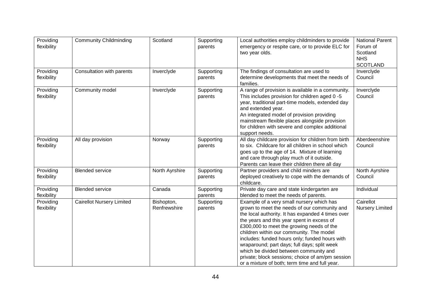| Providing<br>flexibility | <b>Community Childminding</b>    | Scotland                   | Supporting<br>parents | Local authorities employ childminders to provide<br>emergency or respite care, or to provide ELC for<br>two year olds.                                                                                                                                                                                                                                                                                                                                                                                                                  | <b>National Parent</b><br>Forum of<br>Scotland<br><b>NHS</b><br><b>SCOTLAND</b> |
|--------------------------|----------------------------------|----------------------------|-----------------------|-----------------------------------------------------------------------------------------------------------------------------------------------------------------------------------------------------------------------------------------------------------------------------------------------------------------------------------------------------------------------------------------------------------------------------------------------------------------------------------------------------------------------------------------|---------------------------------------------------------------------------------|
| Providing<br>flexibility | Consultation with parents        | Inverclyde                 | Supporting<br>parents | The findings of consultation are used to<br>determine developments that meet the needs of<br>families.                                                                                                                                                                                                                                                                                                                                                                                                                                  | Inverclyde<br>Council                                                           |
| Providing<br>flexibility | Community model                  | Inverclyde                 | Supporting<br>parents | A range of provision is available in a community.<br>This includes provision for children aged 0 -5<br>year, traditional part-time models, extended day<br>and extended year.<br>An integrated model of provision providing<br>mainstream flexible places alongside provision<br>for children with severe and complex additional<br>support needs.                                                                                                                                                                                      | Inverclyde<br>Council                                                           |
| Providing<br>flexibility | All day provision                | Norway                     | Supporting<br>parents | All day childcare provision for children from birth<br>to six. Childcare for all children in school which<br>goes up to the age of 14. Mixture of learning<br>and care through play much of it outside.<br>Parents can leave their children there all day                                                                                                                                                                                                                                                                               | Aberdeenshire<br>Council                                                        |
| Providing<br>flexibility | <b>Blended service</b>           | North Ayrshire             | Supporting<br>parents | Partner providers and child minders are<br>deployed creatively to cope with the demands of<br>childcare.                                                                                                                                                                                                                                                                                                                                                                                                                                | North Ayrshire<br>Council                                                       |
| Providing<br>flexibility | <b>Blended service</b>           | Canada                     | Supporting<br>parents | Private day care and state kindergarten are<br>blended to meet the needs of parents.                                                                                                                                                                                                                                                                                                                                                                                                                                                    | Individual                                                                      |
| Providing<br>flexibility | <b>Cairellot Nursery Limited</b> | Bishopton,<br>Renfrewshire | Supporting<br>parents | Example of a very small nursery which has<br>grown to meet the needs of our community and<br>the local authority. It has expanded 4 times over<br>the years and this year spent in excess of<br>£300,000 to meet the growing needs of the<br>children within our community. The model<br>includes: funded hours only; funded hours with<br>wraparound; part days; full days; split week<br>which be divided between community and<br>private; block sessions; choice of am/pm session<br>or a mixture of both; term time and full year. | Cairellot<br><b>Nursery Limited</b>                                             |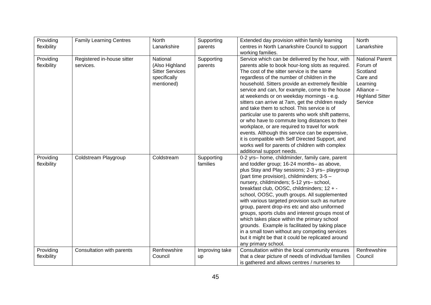| Providing   | <b>Family Learning Centres</b> | <b>North</b>           | Supporting     | Extended day provision within family learning                                                 | North                  |
|-------------|--------------------------------|------------------------|----------------|-----------------------------------------------------------------------------------------------|------------------------|
| flexibility |                                | Lanarkshire            | parents        | centres in North Lanarkshire Council to support<br>working families.                          | Lanarkshire            |
| Providing   | Registered in-house sitter     | National               | Supporting     | Service which can be delivered by the hour, with                                              | <b>National Parent</b> |
| flexibility | services.                      | (Also Highland         | parents        | parents able to book hour-long slots as required.                                             | Forum of               |
|             |                                | <b>Sitter Services</b> |                | The cost of the sitter service is the same                                                    | Scotland               |
|             |                                | specifically           |                | regardless of the number of children in the                                                   | Care and               |
|             |                                | mentioned)             |                | household. Sitters provide an extremely flexible                                              | Learning               |
|             |                                |                        |                | service and can, for example, come to the house                                               | Alliance -             |
|             |                                |                        |                | at weekends or on weekday mornings - e.g.                                                     | <b>Highland Sitter</b> |
|             |                                |                        |                | sitters can arrive at 7am, get the children ready                                             | Service                |
|             |                                |                        |                | and take them to school. This service is of                                                   |                        |
|             |                                |                        |                | particular use to parents who work shift patterns,                                            |                        |
|             |                                |                        |                | or who have to commute long distances to their                                                |                        |
|             |                                |                        |                | workplace, or are required to travel for work                                                 |                        |
|             |                                |                        |                | events. Although this service can be expensive,                                               |                        |
|             |                                |                        |                | it is compatible with Self Directed Support, and                                              |                        |
|             |                                |                        |                | works well for parents of children with complex                                               |                        |
|             |                                |                        |                | additional support needs.                                                                     |                        |
| Providing   | Coldstream Playgroup           | Coldstream             | Supporting     | 0-2 yrs- home, childminder, family care, parent                                               |                        |
| flexibility |                                |                        | families       | and toddler group; 16-24 months- as above,                                                    |                        |
|             |                                |                        |                | plus Stay and Play sessions; 2-3 yrs- playgroup<br>(part time provision), childminders; 3-5 - |                        |
|             |                                |                        |                | nursery, childminders; 5-12 yrs- school,                                                      |                        |
|             |                                |                        |                | breakfast club, OOSC, childminders; 12 + -                                                    |                        |
|             |                                |                        |                | school, OOSC, youth groups. All supplemented                                                  |                        |
|             |                                |                        |                | with various targeted provision such as nurture                                               |                        |
|             |                                |                        |                | group, parent drop-ins etc and also uniformed                                                 |                        |
|             |                                |                        |                | groups, sports clubs and interest groups most of                                              |                        |
|             |                                |                        |                | which takes place within the primary school                                                   |                        |
|             |                                |                        |                | grounds. Example is facilitated by taking place                                               |                        |
|             |                                |                        |                | in a small town without any competing services                                                |                        |
|             |                                |                        |                | but it might be that it could be replicated around                                            |                        |
|             |                                |                        |                | any primary school.                                                                           |                        |
| Providing   | Consultation with parents      | Renfrewshire           | Improving take | Consultation within the local community ensures                                               | Renfrewshire           |
| flexibility |                                | Council                | up             | that a clear picture of needs of individual families                                          | Council                |
|             |                                |                        |                | is gathered and allows centres / nurseries to                                                 |                        |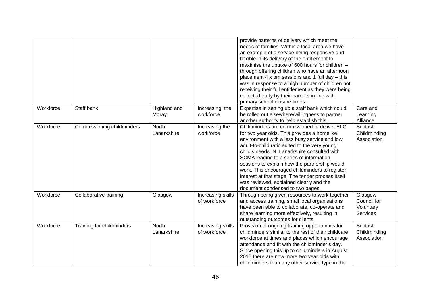|           |                            |                             |                                   | provide patterns of delivery which meet the<br>needs of families. Within a local area we have<br>an example of a service being responsive and<br>flexible in its delivery of the entitlement to<br>maximise the uptake of 600 hours for children -<br>through offering children who have an afternoon<br>placement 4 x pm sessions and 1 full day - this<br>was in response to a high number of children not<br>receiving their full entitlement as they were being<br>collected early by their parents in line with<br>primary school closure times. |                                                        |
|-----------|----------------------------|-----------------------------|-----------------------------------|-------------------------------------------------------------------------------------------------------------------------------------------------------------------------------------------------------------------------------------------------------------------------------------------------------------------------------------------------------------------------------------------------------------------------------------------------------------------------------------------------------------------------------------------------------|--------------------------------------------------------|
| Workforce | Staff bank                 | Highland and<br>Moray       | Increasing the<br>workforce       | Expertise in setting up a staff bank which could<br>be rolled out elsewhere/willingness to partner<br>another authority to help establish this.                                                                                                                                                                                                                                                                                                                                                                                                       | Care and<br>Learning<br>Alliance                       |
| Workforce | Commissioning childminders | <b>North</b><br>Lanarkshire | Increasing the<br>workforce       | Childminders are commissioned to deliver ELC<br>for two year olds. This provides a homelike<br>environment with a less busy service and low<br>adult-to-child ratio suited to the very young<br>child's needs. N. Lanarkshire consulted with<br>SCMA leading to a series of information<br>sessions to explain how the partnership would<br>work. This encouraged childminders to register<br>interest at that stage. The tender process itself<br>was reviewed, explained clearly and the<br>document condensed to two pages.                        | Scottish<br>Childminding<br>Association                |
| Workforce | Collaborative training     | Glasgow                     | Increasing skills<br>of workforce | Through being given resources to work together<br>and access training, small local organisations<br>have been able to collaborate, co-operate and<br>share learning more effectively, resulting in<br>outstanding outcomes for clients.                                                                                                                                                                                                                                                                                                               | Glasgow<br>Council for<br>Voluntary<br><b>Services</b> |
| Workforce | Training for childminders  | <b>North</b><br>Lanarkshire | Increasing skills<br>of workforce | Provision of ongoing training opportunities for<br>childminders similar to the rest of their childcare<br>workforce at times and places which encourage<br>attendance and fit with the childminder's day.<br>Since opening this up to childminders in August<br>2015 there are now more two year olds with<br>childminders than any other service type in the                                                                                                                                                                                         | Scottish<br>Childminding<br>Association                |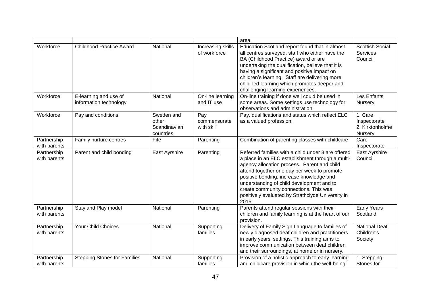|                             |                                                 |                                                  |                                   | area.                                                                                                                                                                                                                                                                                                                                                                                                 |                                                       |
|-----------------------------|-------------------------------------------------|--------------------------------------------------|-----------------------------------|-------------------------------------------------------------------------------------------------------------------------------------------------------------------------------------------------------------------------------------------------------------------------------------------------------------------------------------------------------------------------------------------------------|-------------------------------------------------------|
| Workforce                   | <b>Childhood Practice Award</b>                 | National                                         | Increasing skills<br>of workforce | Education Scotland report found that in almost<br>all centres surveyed, staff who either have the<br>BA (Childhood Practice) award or are<br>undertaking the qualification, believe that it is<br>having a significant and positive impact on<br>children's learning. Staff are delivering more<br>child-led learning which promotes deeper and<br>challenging learning experiences.                  | Scottish Social<br><b>Services</b><br>Council         |
| Workforce                   | E-learning and use of<br>information technology | National                                         | On-line learning<br>and IT use    | On-line training if done well could be used in<br>some areas. Some settings use technology for<br>observations and administration.                                                                                                                                                                                                                                                                    | Les Enfants<br>Nursery                                |
| Workforce                   | Pay and conditions                              | Sweden and<br>other<br>Scandinavian<br>countries | Pay<br>commensurate<br>with skill | Pay, qualifications and status which reflect ELC<br>as a valued profession.                                                                                                                                                                                                                                                                                                                           | 1. Care<br>Inspectorate<br>2. Kirktonholme<br>Nursery |
| Partnership<br>with parents | Family nurture centres                          | Fife                                             | Parenting                         | Combination of parenting classes with childcare                                                                                                                                                                                                                                                                                                                                                       | Care<br>Inspectorate                                  |
| Partnership<br>with parents | Parent and child bonding                        | East Ayrshire                                    | Parenting                         | Referred families with a child under 3 are offered<br>a place in an ELC establishment through a multi-<br>agency allocation process. Parent and child<br>attend together one day per week to promote<br>positive bonding, increase knowledge and<br>understanding of child development and to<br>create community connections. This was<br>positively evaluated by Strathclyde University in<br>2015. | East Ayrshire<br>Council                              |
| Partnership<br>with parents | Stay and Play model                             | National                                         | Parenting                         | Parents attend regular sessions with their<br>children and family learning is at the heart of our<br>provision.                                                                                                                                                                                                                                                                                       | <b>Early Years</b><br>Scotland                        |
| Partnership<br>with parents | Your Child Choices                              | National                                         | Supporting<br>families            | Delivery of Family Sign Language to families of<br>newly diagnosed deaf children and practitioners<br>in early years' settings. This training aims to<br>improve communication between deaf children<br>and their surroundings, at home or in nursery.                                                                                                                                                | National Deaf<br>Children's<br>Society                |
| Partnership<br>with parents | <b>Stepping Stones for Families</b>             | National                                         | Supporting<br>families            | Provision of a holistic approach to early learning<br>and childcare provision in which the well-being                                                                                                                                                                                                                                                                                                 | 1. Stepping<br>Stones for                             |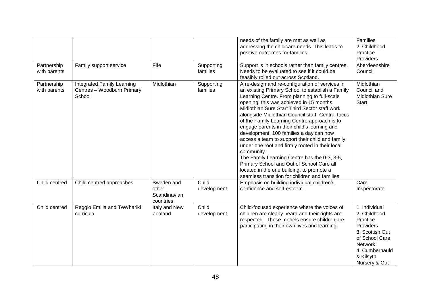| Partnership                 | Family support service                                                    | Fife                                             | Supporting             | needs of the family are met as well as<br>addressing the childcare needs. This leads to<br>positive outcomes for families.<br>Support is in schools rather than family centres.                                                                                                                                                                                                                                                                                                                                                                                                                                                                                                                                                                                   | <b>Families</b><br>2. Childhood<br>Practice<br>Providers<br>Aberdeenshire                                                                                     |
|-----------------------------|---------------------------------------------------------------------------|--------------------------------------------------|------------------------|-------------------------------------------------------------------------------------------------------------------------------------------------------------------------------------------------------------------------------------------------------------------------------------------------------------------------------------------------------------------------------------------------------------------------------------------------------------------------------------------------------------------------------------------------------------------------------------------------------------------------------------------------------------------------------------------------------------------------------------------------------------------|---------------------------------------------------------------------------------------------------------------------------------------------------------------|
| with parents                |                                                                           |                                                  | families               | Needs to be evaluated to see if it could be<br>feasibly rolled out across Scotland.                                                                                                                                                                                                                                                                                                                                                                                                                                                                                                                                                                                                                                                                               | Council                                                                                                                                                       |
| Partnership<br>with parents | <b>Integrated Family Learning</b><br>Centres - Woodburn Primary<br>School | Midlothian                                       | Supporting<br>families | A re-design and re-configuration of services in<br>an existing Primary School to establish a Family<br>Learning Centre. From planning to full-scale<br>opening, this was achieved in 15 months.<br>Midlothian Sure Start Third Sector staff work<br>alongside Midlothian Council staff. Central focus<br>of the Family Learning Centre approach is to<br>engage parents in their child's learning and<br>development. 100 families a day can now<br>access a team to support their child and family,<br>under one roof and firmly rooted in their local<br>community.<br>The Family Learning Centre has the 0-3, 3-5,<br>Primary School and Out of School Care all<br>located in the one building, to promote a<br>seamless transition for children and families. | Midlothian<br>Council and<br><b>Midlothian Sure</b><br><b>Start</b>                                                                                           |
| Child centred               | Child centred approaches                                                  | Sweden and<br>other<br>Scandinavian<br>countries | Child<br>development   | Emphasis on building individual children's<br>confidence and self-esteem.                                                                                                                                                                                                                                                                                                                                                                                                                                                                                                                                                                                                                                                                                         | Care<br>Inspectorate                                                                                                                                          |
| Child centred               | Reggio Emilia and TeWhariki<br>curricula                                  | Italy and New<br>Zealand                         | Child<br>development   | Child-focused experience where the voices of<br>children are clearly heard and their rights are<br>respected. These models ensure children are<br>participating in their own lives and learning.                                                                                                                                                                                                                                                                                                                                                                                                                                                                                                                                                                  | 1. Individual<br>2. Childhood<br>Practice<br>Providers<br>3. Scottish Out<br>of School Care<br><b>Network</b><br>4. Cumbernauld<br>& Kilsyth<br>Nursery & Out |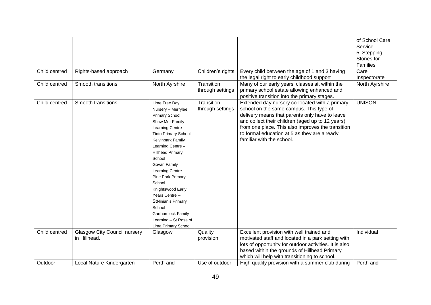|               |                                     |                             |                   |                                                        | of School Care  |
|---------------|-------------------------------------|-----------------------------|-------------------|--------------------------------------------------------|-----------------|
|               |                                     |                             |                   |                                                        | Service         |
|               |                                     |                             |                   |                                                        | 5. Stepping     |
|               |                                     |                             |                   |                                                        | Stones for      |
|               |                                     |                             |                   |                                                        | <b>Families</b> |
| Child centred | Rights-based approach               | Germany                     | Children's rights | Every child between the age of 1 and 3 having          | Care            |
|               |                                     |                             |                   | the legal right to early childhood support             | Inspectorate    |
| Child centred | Smooth transitions                  | North Ayrshire              | Transition        | Many of our early years' classes sit within the        | North Ayrshire  |
|               |                                     |                             | through settings  | primary school estate allowing enhanced and            |                 |
|               |                                     |                             |                   | positive transition into the primary stages.           |                 |
| Child centred | Smooth transitions                  |                             | Transition        | Extended day nursery co-located with a primary         | <b>UNISON</b>   |
|               |                                     | Lime Tree Day               | through settings  | school on the same campus. This type of                |                 |
|               |                                     | Nursery - Merrylee          |                   |                                                        |                 |
|               |                                     | Primary School              |                   | delivery means that parents only have to leave         |                 |
|               |                                     | Shaw Mor Family             |                   | and collect their children (aged up to 12 years)       |                 |
|               |                                     | Learning Centre -           |                   | from one place. This also improves the transition      |                 |
|               |                                     | <b>Tinto Primary School</b> |                   | to formal education at 5 as they are already           |                 |
|               |                                     | Kelvinpark Family           |                   | familiar with the school.                              |                 |
|               |                                     | Learning Centre -           |                   |                                                        |                 |
|               |                                     | <b>Hillhead Primary</b>     |                   |                                                        |                 |
|               |                                     | School                      |                   |                                                        |                 |
|               |                                     | Govan Family                |                   |                                                        |                 |
|               |                                     | Learning Centre -           |                   |                                                        |                 |
|               |                                     | Pirie Park Primary          |                   |                                                        |                 |
|               |                                     | School                      |                   |                                                        |                 |
|               |                                     | Knightswood Early           |                   |                                                        |                 |
|               |                                     | Years Centre -              |                   |                                                        |                 |
|               |                                     | StNinian's Primary          |                   |                                                        |                 |
|               |                                     | School                      |                   |                                                        |                 |
|               |                                     | Garthamlock Family          |                   |                                                        |                 |
|               |                                     | Learning - St Rose of       |                   |                                                        |                 |
|               |                                     | Lima Primary School         |                   |                                                        |                 |
| Child centred | <b>Glasgow City Council nursery</b> | Glasgow                     | Quality           | Excellent provision with well trained and              | Individual      |
|               | in Hillhead.                        |                             | provision         | motivated staff and located in a park setting with     |                 |
|               |                                     |                             |                   | lots of opportunity for outdoor activities. It is also |                 |
|               |                                     |                             |                   | based within the grounds of Hillhead Primary           |                 |
|               |                                     |                             |                   | which will help with transitioning to school.          |                 |
| Outdoor       | Local Nature Kindergarten           | Perth and                   | Use of outdoor    | High quality provision with a summer club during       | Perth and       |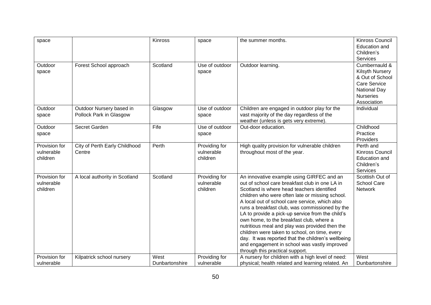| space                                   |                                                     | <b>Kinross</b>         | space                                   | the summer months.                                                                                                                                                                                                                                                                                                                                                                                                                                                                                                                                                                                                                           | Kinross Council<br>Education and<br>Children's                                                                      |
|-----------------------------------------|-----------------------------------------------------|------------------------|-----------------------------------------|----------------------------------------------------------------------------------------------------------------------------------------------------------------------------------------------------------------------------------------------------------------------------------------------------------------------------------------------------------------------------------------------------------------------------------------------------------------------------------------------------------------------------------------------------------------------------------------------------------------------------------------------|---------------------------------------------------------------------------------------------------------------------|
| Outdoor                                 | Forest School approach                              | Scotland               | Use of outdoor                          | Outdoor learning.                                                                                                                                                                                                                                                                                                                                                                                                                                                                                                                                                                                                                            | Services<br>Cumbernauld &                                                                                           |
| space                                   |                                                     |                        | space                                   |                                                                                                                                                                                                                                                                                                                                                                                                                                                                                                                                                                                                                                              | Kilsyth Nursery<br>& Out of School<br><b>Care Service</b><br><b>National Day</b><br><b>Nurseries</b><br>Association |
| Outdoor<br>space                        | Outdoor Nursery based in<br>Pollock Park in Glasgow | Glasgow                | Use of outdoor<br>space                 | Children are engaged in outdoor play for the<br>vast majority of the day regardless of the<br>weather (unless is gets very extreme).                                                                                                                                                                                                                                                                                                                                                                                                                                                                                                         | Individual                                                                                                          |
| Outdoor<br>space                        | Secret Garden                                       | Fife                   | Use of outdoor<br>space                 | Out-door education.                                                                                                                                                                                                                                                                                                                                                                                                                                                                                                                                                                                                                          | Childhood<br>Practice<br>Providers                                                                                  |
| Provision for<br>vulnerable<br>children | City of Perth Early Childhood<br>Centre             | Perth                  | Providing for<br>vulnerable<br>children | High quality provision for vulnerable children<br>throughout most of the year.                                                                                                                                                                                                                                                                                                                                                                                                                                                                                                                                                               | Perth and<br>Kinross Council<br>Education and<br>Children's<br>Services                                             |
| Provision for<br>vulnerable<br>children | A local authority in Scotland                       | Scotland               | Providing for<br>vulnerable<br>children | An innovative example using GIRFEC and an<br>out of school care breakfast club in one LA in<br>Scotland is where head teachers identified<br>children who were often late or missing school.<br>A local out of school care service, which also<br>runs a breakfast club, was commissioned by the<br>LA to provide a pick-up service from the child's<br>own home, to the breakfast club, where a<br>nutritious meal and play was provided then the<br>children were taken to school, on time, every<br>day. It was reported that the children's wellbeing<br>and engagement in school was vastly improved<br>through this practical support. | Scottish Out of<br><b>School Care</b><br>Network                                                                    |
| Provision for<br>vulnerable             | Kilpatrick school nursery                           | West<br>Dunbartonshire | Providing for<br>vulnerable             | A nursery for children with a high level of need:<br>physical; health related and learning related. An                                                                                                                                                                                                                                                                                                                                                                                                                                                                                                                                       | West<br>Dunbartonshire                                                                                              |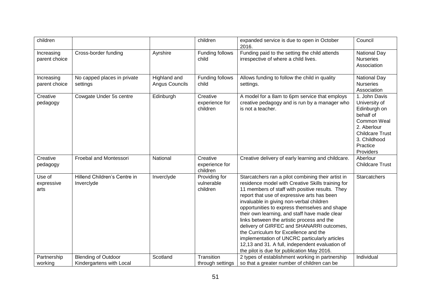| children                     |                                                        |                                | children                                | expanded service is due to open in October<br>2016.                                                                                                                                                                                                                                                                                                                                                                                                                                                                                                                                                                                           | Council                                                                                                                                                      |
|------------------------------|--------------------------------------------------------|--------------------------------|-----------------------------------------|-----------------------------------------------------------------------------------------------------------------------------------------------------------------------------------------------------------------------------------------------------------------------------------------------------------------------------------------------------------------------------------------------------------------------------------------------------------------------------------------------------------------------------------------------------------------------------------------------------------------------------------------------|--------------------------------------------------------------------------------------------------------------------------------------------------------------|
| Increasing<br>parent choice  | Cross-border funding                                   | Ayrshire                       | Funding follows<br>child                | Funding paid to the setting the child attends<br>irrespective of where a child lives.                                                                                                                                                                                                                                                                                                                                                                                                                                                                                                                                                         | <b>National Day</b><br><b>Nurseries</b><br>Association                                                                                                       |
| Increasing<br>parent choice  | No capped places in private<br>settings                | Highland and<br>Angus Councils | Funding follows<br>child                | Allows funding to follow the child in quality<br>settings.                                                                                                                                                                                                                                                                                                                                                                                                                                                                                                                                                                                    | <b>National Day</b><br><b>Nurseries</b><br>Association                                                                                                       |
| Creative<br>pedagogy         | Cowgate Under 5s centre                                | Edinburgh                      | Creative<br>experience for<br>children  | A model for a 8am to 6pm service that employs<br>creative pedagogy and is run by a manager who<br>is not a teacher.                                                                                                                                                                                                                                                                                                                                                                                                                                                                                                                           | 1. John Davis<br>University of<br>Edinburgh on<br>behalf of<br>Common Weal<br>2. Aberlour<br><b>Childcare Trust</b><br>3. Childhood<br>Practice<br>Providers |
| Creative<br>pedagogy         | Froebal and Montessori                                 | National                       | Creative<br>experience for<br>children  | Creative delivery of early learning and childcare.                                                                                                                                                                                                                                                                                                                                                                                                                                                                                                                                                                                            | Aberlour<br><b>Childcare Trust</b>                                                                                                                           |
| Use of<br>expressive<br>arts | Hillend Children's Centre in<br>Inverclyde             | Inverclyde                     | Providing for<br>vulnerable<br>children | Starcatchers ran a pilot combining their artist in<br>residence model with Creative Skills training for<br>11 members of staff with positive results. They<br>report that use of expressive arts has been<br>invaluable in giving non-verbal children<br>opportunities to express themselves and shape<br>their own learning, and staff have made clear<br>links between the artistic process and the<br>delivery of GIRFEC and SHANARRI outcomes,<br>the Curriculum for Excellence and the<br>implementation of UNCRC particularly articles<br>12,13 and 31. A full, independent evaluation of<br>the pilot is due for publication May 2016. | <b>Starcatchers</b>                                                                                                                                          |
| Partnership<br>working       | <b>Blending of Outdoor</b><br>Kindergartens with Local | Scotland                       | Transition<br>through settings          | 2 types of establishment working in partnership<br>so that a greater number of children can be                                                                                                                                                                                                                                                                                                                                                                                                                                                                                                                                                | Individual                                                                                                                                                   |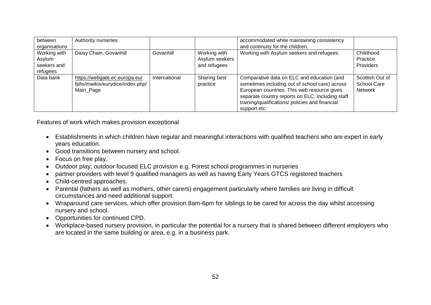| between<br>organisations                          | Authority nurseries                                                            |               |                                                | accommodated while maintaining consistency<br>and continuity for the children.                                                                                                                                                                                     |                                                         |
|---------------------------------------------------|--------------------------------------------------------------------------------|---------------|------------------------------------------------|--------------------------------------------------------------------------------------------------------------------------------------------------------------------------------------------------------------------------------------------------------------------|---------------------------------------------------------|
| Working with<br>Asylum<br>seekers and<br>refugees | Daisy Chain, Govanhill                                                         | Govanhill     | Working with<br>Asylum seekers<br>and refugees | Working with Asylum seekers and refugees.                                                                                                                                                                                                                          | Childhood<br>Practice<br>Providers                      |
| Data bank                                         | https://webgate.ec.europa.eu/<br>fpfis/mwikis/eurydice/index.php/<br>Main_Page | International | Sharing best<br>practice                       | Comparative data on ELC and education (and<br>sometimes including out of school care) across<br>European countries. This web resource gives<br>separate country reports on ELC, including staff<br>training/qualifications/ policies and financial<br>support etc. | Scottish Out of<br><b>School Care</b><br><b>Network</b> |

Features of work which makes provision exceptional

- Establishments in which children have regular and meaningful interactions with qualified teachers who are expert in early years education.
- Good transitions between nursery and school.
- Focus on free play.
- Outdoor play; outdoor focused ELC provision e.g. Forest school programmes in nurseries
- partner providers with level 9 qualified managers as well as having Early Years GTCS registered teachers
- Child-centred approaches.
- Parental (fathers as well as mothers, other carers) engagement particularly where families are living in difficult circumstances and need additional support.
- Wraparound care services, which offer provision 8am-6pm for siblings to be cared for across the day whilst accessing nursery and school.
- Opportunities for continued CPD.
- Workplace-based nursery provision, in particular the potential for a nursery that is shared between different employers who are located in the same building or area, e.g. in a business park.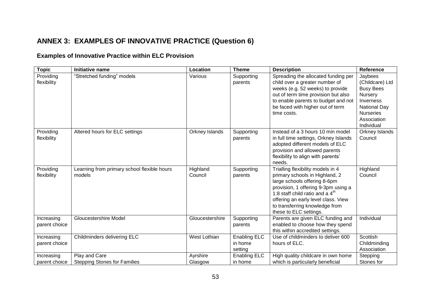### **ANNEX 3: EXAMPLES OF INNOVATIVE PRACTICE (Question 6)**

### **Examples of Innovative Practice within ELC Provision**

| <b>Topic</b>                | Initiative name                                       | Location            | <b>Theme</b>                              | <b>Description</b>                                                                                                                                                                                                                                                                 | Reference                                                                                                                                      |
|-----------------------------|-------------------------------------------------------|---------------------|-------------------------------------------|------------------------------------------------------------------------------------------------------------------------------------------------------------------------------------------------------------------------------------------------------------------------------------|------------------------------------------------------------------------------------------------------------------------------------------------|
| Providing<br>flexibility    | "Stretched funding" models                            | Various             | Supporting<br>parents                     | Spreading the allocated funding per<br>child over a greater number of<br>weeks (e.g. 52 weeks) to provide<br>out of term time provision but also<br>to enable parents to budget and not<br>be faced with higher out of term<br>time costs.                                         | Jaybees<br>(Childcare) Ltd<br><b>Busy Bees</b><br>Nursery<br>Inverness<br><b>National Day</b><br><b>Nurseries</b><br>Association<br>Individual |
| Providing<br>flexibility    | Altered hours for ELC settings                        | Orkney Islands      | Supporting<br>parents                     | Instead of a 3 hours 10 min model<br>in full time settings, Orkney Islands<br>adopted different models of ELC<br>provision and allowed parents<br>flexibility to align with parents'<br>needs.                                                                                     | Orkney Islands<br>Council                                                                                                                      |
| Providing<br>flexibility    | Learning from primary school flexible hours<br>models | Highland<br>Council | Supporting<br>parents                     | Trialling flexibility models in 4<br>primary schools in Highland, 2<br>large schools offering 8-6pm<br>provision, 1 offering 9-3pm using a<br>1:8 staff child ratio and a $4th$<br>offering an early level class. View<br>to transferring knowledge from<br>these to ELC settings. | Highland<br>Council                                                                                                                            |
| Increasing<br>parent choice | <b>Gloucestershire Model</b>                          | Gloucestershire     | Supporting<br>parents                     | Parents are given ELC funding and<br>enabled to choose how they spend<br>this within accredited settings.                                                                                                                                                                          | Individual                                                                                                                                     |
| Increasing<br>parent choice | Childminders delivering ELC                           | West Lothian        | <b>Enabling ELC</b><br>in home<br>setting | Use of childminders to deliver 600<br>hours of ELC.                                                                                                                                                                                                                                | Scottish<br>Childminding<br>Association                                                                                                        |
| Increasing<br>parent choice | Play and Care<br><b>Stepping Stones for Families</b>  | Ayrshire<br>Glasgow | <b>Enabling ELC</b><br>in home            | High quality childcare in own home<br>which is particularly beneficial                                                                                                                                                                                                             | Stepping<br>Stones for                                                                                                                         |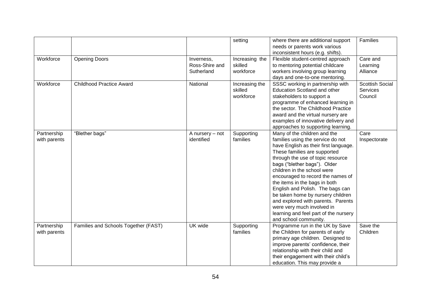|                             |                                      |                                            | setting                                | where there are additional support<br>needs or parents work various<br>inconsistent hours (e.g. shifts).                                                                                                                                                                                                                                                                                                                                                                                                                            | Families                               |
|-----------------------------|--------------------------------------|--------------------------------------------|----------------------------------------|-------------------------------------------------------------------------------------------------------------------------------------------------------------------------------------------------------------------------------------------------------------------------------------------------------------------------------------------------------------------------------------------------------------------------------------------------------------------------------------------------------------------------------------|----------------------------------------|
| Workforce                   | <b>Opening Doors</b>                 | Inverness,<br>Ross-Shire and<br>Sutherland | Increasing the<br>skilled<br>workforce | Flexible student-centred approach<br>to mentoring potential childcare<br>workers involving group learning<br>days and one-to-one mentoring.                                                                                                                                                                                                                                                                                                                                                                                         | Care and<br>Learning<br>Alliance       |
| Workforce                   | <b>Childhood Practice Award</b>      | National                                   | Increasing the<br>skilled<br>workforce | SSSC working in partnership with<br><b>Education Scotland and other</b><br>stakeholders to support a<br>programme of enhanced learning in<br>the sector. The Childhood Practice<br>award and the virtual nursery are<br>examples of innovative delivery and<br>approaches to supporting learning.                                                                                                                                                                                                                                   | Scottish Social<br>Services<br>Council |
| Partnership<br>with parents | "Blether bags"                       | A nursery - not<br>identified              | Supporting<br>families                 | Many of the children and the<br>families using the service do not<br>have English as their first language.<br>These families are supported<br>through the use of topic resource<br>bags ("blether bags"). Older<br>children in the school were<br>encouraged to record the names of<br>the items in the bags in both<br>English and Polish. The bags can<br>be taken home by nursery children<br>and explored with parents. Parents<br>were very much involved in<br>learning and feel part of the nursery<br>and school community. | Care<br>Inspectorate                   |
| Partnership<br>with parents | Families and Schools Together (FAST) | UK wide                                    | Supporting<br>families                 | Programme run in the UK by Save<br>the Children for parents of early<br>primary age children. Designed to<br>improve parents' confidence, their<br>relationship with their child and<br>their engagement with their child's<br>education. This may provide a                                                                                                                                                                                                                                                                        | Save the<br>Children                   |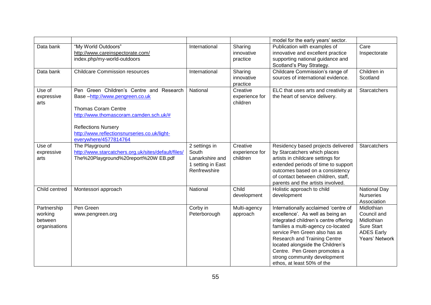|                                                    |                                                                                                                                                                                                                                                           |                                                                                |                                        | model for the early years' sector.                                                                                                                                                                                                                                                                                                                         |                                                                                                     |
|----------------------------------------------------|-----------------------------------------------------------------------------------------------------------------------------------------------------------------------------------------------------------------------------------------------------------|--------------------------------------------------------------------------------|----------------------------------------|------------------------------------------------------------------------------------------------------------------------------------------------------------------------------------------------------------------------------------------------------------------------------------------------------------------------------------------------------------|-----------------------------------------------------------------------------------------------------|
| Data bank                                          | "My World Outdoors"<br>http://www.careinspectorate.com/<br>index.php/my-world-outdoors                                                                                                                                                                    | International                                                                  | Sharing<br>innovative<br>practice      | Publication with examples of<br>innovative and excellent practice<br>supporting national guidance and<br>Scotland's Play Strategy.                                                                                                                                                                                                                         | Care<br>Inspectorate                                                                                |
| Data bank                                          | <b>Childcare Commission resources</b>                                                                                                                                                                                                                     | International                                                                  | Sharing<br>innovative<br>practice      | Childcare Commission's range of<br>sources of international evidence.                                                                                                                                                                                                                                                                                      | Children in<br>Scotland                                                                             |
| Use of<br>expressive<br>arts                       | Pen Green Children's Centre and Research<br>Base-http://www.pengreen.co.uk<br><b>Thomas Coram Centre</b><br>http://www.thomascoram.camden.sch.uk/#<br><b>Reflections Nursery</b><br>http://www.reflectionsnurseries.co.uk/light-<br>everywhere/4577814764 | National                                                                       | Creative<br>experience for<br>children | ELC that uses arts and creativity at<br>the heart of service delivery.                                                                                                                                                                                                                                                                                     | <b>Starcatchers</b>                                                                                 |
| Use of<br>expressive<br>arts                       | The Playground<br>http://www.starcatchers.org.uk/sites/default/files/<br>The%20Playground%20report%20W EB.pdf                                                                                                                                             | 2 settings in<br>South<br>Lanarkshire and<br>1 setting in East<br>Renfrewshire | Creative<br>experience for<br>children | Residency based projects delivered<br>by Starcatchers which places<br>artists in childcare settings for<br>extended periods of time to support<br>outcomes based on a consistency<br>of contact between children, staff,<br>parents and the artists involved.                                                                                              | <b>Starcatchers</b>                                                                                 |
| Child centred                                      | Montessori approach                                                                                                                                                                                                                                       | National                                                                       | Child<br>development                   | Holistic approach to child<br>development                                                                                                                                                                                                                                                                                                                  | <b>National Day</b><br><b>Nurseries</b><br>Association                                              |
| Partnership<br>working<br>between<br>organisations | Pen Green<br>www.pengreen.org                                                                                                                                                                                                                             | Corby in<br>Peterborough                                                       | Multi-agency<br>approach               | Internationally acclaimed 'centre of<br>excellence'. As well as being an<br>integrated children's centre offering<br>families a multi-agency co-located<br>service Pen Green also has as<br>Research and Training Centre<br>located alongside the Children's<br>Centre. Pen Green promotes a<br>strong community development<br>ethos, at least 50% of the | Midlothian<br>Council and<br>Midlothian<br><b>Sure Start</b><br><b>ADES Early</b><br>Years' Network |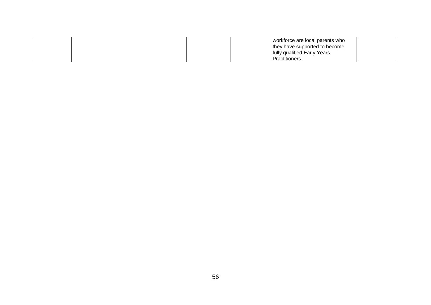|  |  | workforce are local parents who |  |
|--|--|---------------------------------|--|
|  |  | they have supported to become   |  |
|  |  | fully qualified Early Years     |  |
|  |  | Practitioners.                  |  |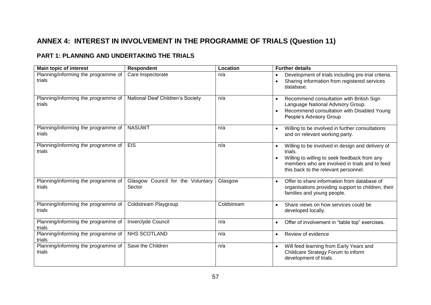### **ANNEX 4: INTEREST IN INVOLVEMENT IN THE PROGRAMME OF TRIALS (Question 11)**

### **PART 1: PLANNING AND UNDERTAKING THE TRIALS**

| <b>Main topic of interest</b>                 | <b>Respondent</b>                           | Location   | <b>Further details</b>                                                                                                                                                                                |
|-----------------------------------------------|---------------------------------------------|------------|-------------------------------------------------------------------------------------------------------------------------------------------------------------------------------------------------------|
| Planning/informing the programme of<br>trials | Care Inspectorate                           | n/a        | Development of trials including pre-trial criteria.<br>Sharing information from registered services<br>database.                                                                                      |
| Planning/informing the programme of<br>trials | National Deaf Children's Society            | n/a        | Recommend consultation with British Sign<br>Language National Advisory Group.<br>Recommend consultation with Disabled Young<br>People's Advisory Group                                                |
| Planning/informing the programme of<br>trials | <b>NASUWT</b>                               | n/a        | Willing to be involved in further consultations<br>and on relevant working party.                                                                                                                     |
| Planning/informing the programme of<br>trials | <b>EIS</b>                                  | n/a        | Willing to be involved in design and delivery of<br>trials.<br>Willing to willing to seek feedback from any<br>members who are involved in trials and to feed<br>this back to the relevant personnel. |
| Planning/informing the programme of<br>trials | Glasgow Council for the Voluntary<br>Sector | Glasgow    | Offer to share information from database of<br>$\bullet$<br>organisations providing support to children, their<br>families and young people.                                                          |
| Planning/informing the programme of<br>trials | Coldstream Playgroup                        | Coldstream | Share views on how services could be<br>$\bullet$<br>developed locally.                                                                                                                               |
| Planning/informing the programme of<br>trials | <b>Inverclyde Council</b>                   | n/a        | Offer of involvement in "table top" exercises.<br>$\bullet$                                                                                                                                           |
| Planning/informing the programme of<br>trials | <b>NHS SCOTLAND</b>                         | n/a        | Review of evidence<br>$\bullet$                                                                                                                                                                       |
| Planning/informing the programme of<br>trials | Save the Children                           | n/a        | Will feed learning from Early Years and<br>$\bullet$<br>Childcare Strategy Forum to inform<br>development of trials.                                                                                  |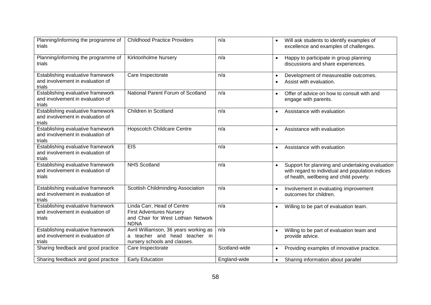| Planning/informing the programme of<br>trials                                   | <b>Childhood Practice Providers</b>                                                                                | n/a           | Will ask students to identify examples of<br>$\bullet$<br>excellence and examples of challenges.                                                            |
|---------------------------------------------------------------------------------|--------------------------------------------------------------------------------------------------------------------|---------------|-------------------------------------------------------------------------------------------------------------------------------------------------------------|
| Planning/informing the programme of<br>trials                                   | Kirktonholme Nursery                                                                                               | n/a           | Happy to participate in group planning<br>$\bullet$<br>discussions and share experiences.                                                                   |
| Establishing evaluative framework<br>and involvement in evaluation of<br>trials | Care Inspectorate                                                                                                  | n/a           | Development of measureable outcomes.<br>$\bullet$<br>Assist with evaluation.                                                                                |
| Establishing evaluative framework<br>and involvement in evaluation of<br>trials | National Parent Forum of Scotland                                                                                  | n/a           | Offer of advice on how to consult with and<br>$\bullet$<br>engage with parents.                                                                             |
| Establishing evaluative framework<br>and involvement in evaluation of<br>trials | Children in Scotland                                                                                               | n/a           | Assistance with evaluation<br>$\bullet$                                                                                                                     |
| Establishing evaluative framework<br>and involvement in evaluation of<br>trials | <b>Hopscotch Childcare Centre</b>                                                                                  | n/a           | Assistance with evaluation<br>$\bullet$                                                                                                                     |
| Establishing evaluative framework<br>and involvement in evaluation of<br>trials | <b>EIS</b>                                                                                                         | n/a           | Assistance with evaluation<br>$\bullet$                                                                                                                     |
| Establishing evaluative framework<br>and involvement in evaluation of<br>trials | <b>NHS Scotland</b>                                                                                                | n/a           | Support for planning and undertaking evaluation<br>$\bullet$<br>with regard to individual and population indices<br>of health, wellbeing and child poverty. |
| Establishing evaluative framework<br>and involvement in evaluation of<br>trials | Scottish Childminding Association                                                                                  | n/a           | Involvement in evaluating improvement<br>$\bullet$<br>outcomes for children.                                                                                |
| Establishing evaluative framework<br>and involvement in evaluation of<br>trials | Linda Carr, Head of Centre<br><b>First Adventures Nursery</b><br>and Chair for West Lothian Network<br><b>NDNA</b> | n/a           | Willing to be part of evaluation team.                                                                                                                      |
| Establishing evaluative framework<br>and involvement in evaluation of<br>trials | Avril Williamson, 36 years working as<br>a teacher and head teacher in<br>nursery schools and classes.             | n/a           | Willing to be part of evaluation team and<br>provide advice.                                                                                                |
| Sharing feedback and good practice                                              | Care Inspectorate                                                                                                  | Scotland-wide | Providing examples of innovative practice.<br>$\bullet$                                                                                                     |
| Sharing feedback and good practice                                              | <b>Early Education</b>                                                                                             | England-wide  | Sharing information about parallel<br>$\bullet$                                                                                                             |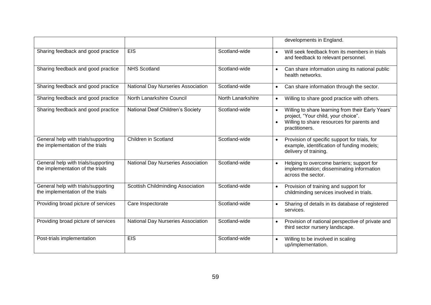|                                                                         |                                    |                   | developments in England.                                                                                                                                                           |
|-------------------------------------------------------------------------|------------------------------------|-------------------|------------------------------------------------------------------------------------------------------------------------------------------------------------------------------------|
| Sharing feedback and good practice                                      | <b>EIS</b>                         | Scotland-wide     | Will seek feedback from its members in trials<br>$\bullet$<br>and feedback to relevant personnel.                                                                                  |
| Sharing feedback and good practice                                      | <b>NHS Scotland</b>                | Scotland-wide     | Can share information using its national public<br>$\bullet$<br>health networks.                                                                                                   |
| Sharing feedback and good practice                                      | National Day Nurseries Association | Scotland-wide     | Can share information through the sector.<br>$\bullet$                                                                                                                             |
| Sharing feedback and good practice                                      | North Lanarkshire Council          | North Lanarkshire | Willing to share good practice with others.<br>$\bullet$                                                                                                                           |
| Sharing feedback and good practice                                      | National Deaf Children's Society   | Scotland-wide     | Willing to share learning from their Early Years'<br>$\bullet$<br>project, "Your child, your choice".<br>Willing to share resources for parents and<br>$\bullet$<br>practitioners. |
| General help with trials/supporting<br>the implementation of the trials | Children in Scotland               | Scotland-wide     | Provision of specific support for trials, for<br>$\bullet$<br>example, identification of funding models;<br>delivery of training.                                                  |
| General help with trials/supporting<br>the implementation of the trials | National Day Nurseries Association | Scotland-wide     | Helping to overcome barriers; support for<br>$\bullet$<br>implementation; disseminating information<br>across the sector.                                                          |
| General help with trials/supporting<br>the implementation of the trials | Scottish Childminding Association  | Scotland-wide     | Provision of training and support for<br>$\bullet$<br>childminding services involved in trials.                                                                                    |
| Providing broad picture of services                                     | Care Inspectorate                  | Scotland-wide     | Sharing of details in its database of registered<br>$\bullet$<br>services.                                                                                                         |
| Providing broad picture of services                                     | National Day Nurseries Association | Scotland-wide     | Provision of national perspective of private and<br>$\bullet$<br>third sector nursery landscape.                                                                                   |
| Post-trials implementation                                              | <b>EIS</b>                         | Scotland-wide     | Willing to be involved in scaling<br>$\bullet$<br>up/implementation.                                                                                                               |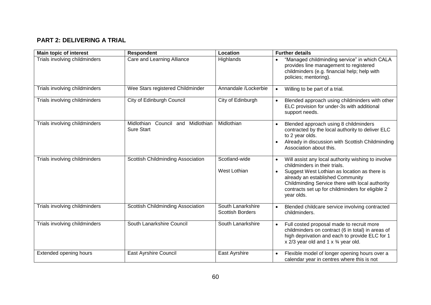### **PART 2: DELIVERING A TRIAL**

| <b>Main topic of interest</b> | <b>Respondent</b>                                         | Location                                     | <b>Further details</b>                                                                                                                                                                                                                                                                       |
|-------------------------------|-----------------------------------------------------------|----------------------------------------------|----------------------------------------------------------------------------------------------------------------------------------------------------------------------------------------------------------------------------------------------------------------------------------------------|
| Trials involving childminders | Care and Learning Alliance                                | Highlands                                    | "Managed childminding service" in which CALA<br>provides line management to registered<br>childminders (e.g. financial help; help with<br>policies; mentoring).                                                                                                                              |
| Trials involving childminders | Wee Stars registered Childminder                          | Annandale /Lockerbie                         | Willing to be part of a trial.<br>$\bullet$                                                                                                                                                                                                                                                  |
| Trials involving childminders | City of Edinburgh Council                                 | City of Edinburgh                            | Blended approach using childminders with other<br>$\bullet$<br>ELC provision for under-3s with additional<br>support needs.                                                                                                                                                                  |
| Trials involving childminders | Midlothian<br>Council and Midlothian<br><b>Sure Start</b> | Midlothian                                   | Blended approach using 8 childminders<br>$\bullet$<br>contracted by the local authority to deliver ELC<br>to 2 year olds.<br>Already in discussion with Scottish Childminding<br>$\bullet$<br>Association about this.                                                                        |
| Trials involving childminders | Scottish Childminding Association                         | Scotland-wide<br>West Lothian                | Will assist any local authority wishing to involve<br>childminders in their trials.<br>Suggest West Lothian as location as there is<br>already an established Community<br>Childminding Service there with local authority<br>contracts set up for childminders for eligible 2<br>year olds. |
| Trials involving childminders | Scottish Childminding Association                         | South Lanarkshire<br><b>Scottish Borders</b> | Blended childcare service involving contracted<br>$\bullet$<br>childminders.                                                                                                                                                                                                                 |
| Trials involving childminders | South Lanarkshire Council                                 | South Lanarkshire                            | Full costed proposal made to recruit more<br>$\bullet$<br>childminders on contract (6 in total) in areas of<br>high deprivation and each to provide ELC for 1<br>x $2/3$ year old and 1 x $\frac{3}{4}$ year old.                                                                            |
| Extended opening hours        | <b>East Ayrshire Council</b>                              | East Ayrshire                                | Flexible model of longer opening hours over a<br>$\bullet$<br>calendar year in centres where this is not                                                                                                                                                                                     |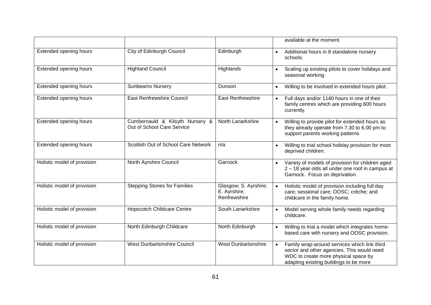|                             |                                                               |                                                       | available at the moment.                                                                                                                                                                  |
|-----------------------------|---------------------------------------------------------------|-------------------------------------------------------|-------------------------------------------------------------------------------------------------------------------------------------------------------------------------------------------|
| Extended opening hours      | City of Edinburgh Council                                     | Edinburgh                                             | Additional hours in 8 standalone nursery<br>schools.                                                                                                                                      |
| Extended opening hours      | <b>Highland Council</b>                                       | Highlands                                             | Scaling up existing pilots to cover holidays and<br>seasonal working.                                                                                                                     |
| Extended opening hours      | <b>Sunbeams Nursery</b>                                       | Dunoon                                                | Willing to be involved in extended hours pilot.                                                                                                                                           |
| Extended opening hours      | <b>East Renfrewshire Council</b>                              | <b>East Renfrewshire</b>                              | Full days and/or 1140 hours in one of their<br>$\bullet$<br>family centres which are providing 600 hours<br>currently.                                                                    |
| Extended opening hours      | Cumbernauld & Kilsyth Nursery &<br>Out of School Care Service | North Lanarkshire                                     | Willing to provide pilot for extended hours as<br>$\bullet$<br>they already operate from 7.30 to 6.00 pm to<br>support parents working patterns                                           |
| Extended opening hours      | Scottish Out of School Care Network                           | n/a                                                   | Willing to trial school holiday provision for most<br>$\bullet$<br>deprived children.                                                                                                     |
| Holistic model of provision | North Ayrshire Council                                        | Garnock                                               | Variety of models of provision for children aged<br>$\bullet$<br>2 - 18 year olds all under one roof in campus at<br>Garnock. Focus on deprivation.                                       |
| Holistic model of provision | <b>Stepping Stones for Families</b>                           | Glasgow; S. Ayrshire;<br>E. Ayrshire;<br>Renfrewshire | Holistic model of provision including full day<br>$\bullet$<br>care; sessional care; OOSC; crèche; and<br>childcare in the family home.                                                   |
| Holistic model of provision | <b>Hopscotch Childcare Centre</b>                             | South Lanarkshire                                     | Model serving whole family needs regarding<br>childcare.                                                                                                                                  |
| Holistic model of provision | North Edinburgh Childcare                                     | North Edinburgh                                       | Willing to trial a model which integrates home-<br>$\bullet$<br>based care with nursery and OOSC provision.                                                                               |
| Holistic model of provision | <b>West Dunbartonshire Council</b>                            | <b>West Dunbartonshire</b>                            | Family wrap-around services which link third<br>$\bullet$<br>sector and other agencies. This would need<br>WDC to create more physical space by<br>adapting existing buildings to be more |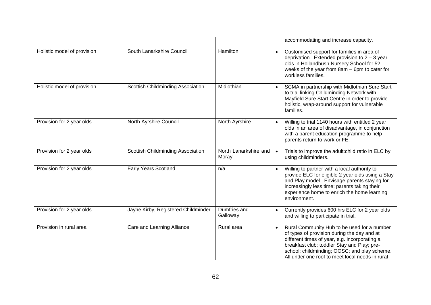|                             |                                     |                                | accommodating and increase capacity.                                                                                                                                                                                                                                                          |
|-----------------------------|-------------------------------------|--------------------------------|-----------------------------------------------------------------------------------------------------------------------------------------------------------------------------------------------------------------------------------------------------------------------------------------------|
| Holistic model of provision | South Lanarkshire Council           | Hamilton                       | Customised support for families in area of<br>$\bullet$<br>deprivation. Extended provision to $2 - 3$ year<br>olds in Hollandbush Nursery School for 52<br>weeks of the year from 8am - 6pm to cater for<br>workless families.                                                                |
| Holistic model of provision | Scottish Childminding Association   | Midlothian                     | SCMA in partnership with Midlothian Sure Start<br>to trial linking Childminding Network with<br>Mayfield Sure Start Centre in order to provide<br>holistic, wrap-around support for vulnerable<br>families.                                                                                   |
| Provision for 2 year olds   | North Ayrshire Council              | North Ayrshire                 | Willing to trial 1140 hours with entitled 2 year<br>olds in an area of disadvantage, in conjunction<br>with a parent education programme to help<br>parents return to work or FE.                                                                                                             |
| Provision for 2 year olds   | Scottish Childminding Association   | North Lanarkshire and<br>Moray | Trials to improve the adult: child ratio in ELC by<br>$\bullet$<br>using childminders.                                                                                                                                                                                                        |
| Provision for 2 year olds   | <b>Early Years Scotland</b>         | n/a                            | Willing to partner with a local authority to<br>provide ELC for eligible 2 year olds using a Stay<br>and Play model. Envisage parents staying for<br>increasingly less time; parents taking their<br>experience home to enrich the home learning<br>environment.                              |
| Provision for 2 year olds   | Jayne Kirby, Registered Childminder | Dumfries and<br>Galloway       | Currently provides 600 hrs ELC for 2 year olds<br>and willing to participate in trial.                                                                                                                                                                                                        |
| Provision in rural area     | Care and Learning Alliance          | Rural area                     | Rural Community Hub to be used for a number<br>of types of provision during the day and at<br>different times of year, e.g. incorporating a<br>breakfast club; toddler Stay and Play; pre-<br>school; childminding; OOSC; and play scheme.<br>All under one roof to meet local needs in rural |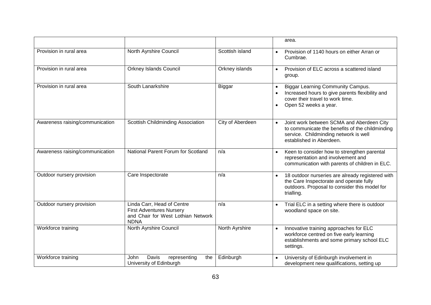|                                 |                                                                                                                    |                  | area.                                                                                                                                                                          |
|---------------------------------|--------------------------------------------------------------------------------------------------------------------|------------------|--------------------------------------------------------------------------------------------------------------------------------------------------------------------------------|
| Provision in rural area         | North Ayrshire Council                                                                                             | Scottish island  | Provision of 1140 hours on either Arran or<br>Cumbrae.                                                                                                                         |
| Provision in rural area         | <b>Orkney Islands Council</b>                                                                                      | Orkney islands   | Provision of ELC across a scattered island<br>$\bullet$<br>group.                                                                                                              |
| Provision in rural area         | South Lanarkshire                                                                                                  | <b>Biggar</b>    | <b>Biggar Learning Community Campus.</b><br>Increased hours to give parents flexibility and<br>cover their travel to work time.<br>Open 52 weeks a year.<br>$\bullet$          |
| Awareness raising/communication | Scottish Childminding Association                                                                                  | City of Aberdeen | Joint work between SCMA and Aberdeen City<br>$\bullet$<br>to communicate the benefits of the childminding<br>service. Childminding network is well<br>established in Aberdeen. |
| Awareness raising/communication | National Parent Forum for Scotland                                                                                 | n/a              | Keen to consider how to strengthen parental<br>representation and involvement and<br>communication with parents of children in ELC.                                            |
| Outdoor nursery provision       | Care Inspectorate                                                                                                  | n/a              | 18 outdoor nurseries are already registered with<br>$\bullet$<br>the Care Inspectorate and operate fully<br>outdoors. Proposal to consider this model for<br>trialling.        |
| Outdoor nursery provision       | Linda Carr, Head of Centre<br><b>First Adventures Nursery</b><br>and Chair for West Lothian Network<br><b>NDNA</b> | n/a              | Trial ELC in a setting where there is outdoor<br>woodland space on site.                                                                                                       |
| Workforce training              | North Ayrshire Council                                                                                             | North Ayrshire   | Innovative training approaches for ELC<br>$\bullet$<br>workforce centred on five early learning<br>establishments and some primary school ELC<br>settings.                     |
| Workforce training              | Davis<br>representing<br><b>John</b><br>the<br>University of Edinburgh                                             | Edinburgh        | University of Edinburgh involvement in<br>development new qualifications, setting up                                                                                           |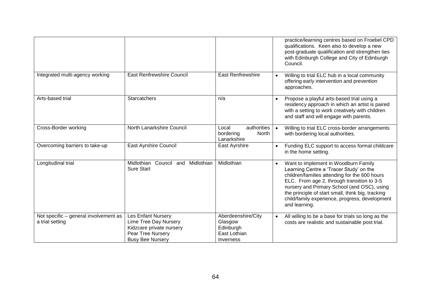|                                                          |                                                                                                                                |                                                                         | practice/learning centres based on Froebel CPD<br>qualifications. Keen also to develop a new<br>post-graduate qualification and strengthen ties<br>with Edinburgh College and City of Edinburgh<br>Council.                                                                                                                                           |
|----------------------------------------------------------|--------------------------------------------------------------------------------------------------------------------------------|-------------------------------------------------------------------------|-------------------------------------------------------------------------------------------------------------------------------------------------------------------------------------------------------------------------------------------------------------------------------------------------------------------------------------------------------|
| Integrated multi-agency working                          | <b>East Renfrewshire Council</b>                                                                                               | <b>East Renfrewshire</b>                                                | Willing to trial ELC hub in a local community<br>$\bullet$<br>offering early intervention and prevention<br>approaches.                                                                                                                                                                                                                               |
| Arts-based trial                                         | <b>Starcatchers</b>                                                                                                            | n/a                                                                     | Propose a playful arts-based trial using a<br>residency approach in which an artist is paired<br>with a setting to work creatively with children<br>and staff and will engage with parents.                                                                                                                                                           |
| Cross-Border working                                     | North Lanarkshire Council                                                                                                      | authorities<br>Local<br>bordering<br>North<br>Lanarkshire               | Willing to trial ELC cross-border arrangements<br>$\bullet$<br>with bordering local authorities.                                                                                                                                                                                                                                                      |
| Overcoming barriers to take-up                           | East Ayrshire Council                                                                                                          | East Ayrshire                                                           | Funding ELC support to access formal childcare<br>in the home setting.                                                                                                                                                                                                                                                                                |
| Longitudinal trial                                       | Midlothian<br>Council and<br>Midlothian<br>Sure Start                                                                          | Midlothian                                                              | Want to implement in Woodburn Family<br>Learning Centre a 'Tracer Study' on the<br>children/families attending for the 600 hours<br>ELC. From age 2, through transition to 3-5<br>nursery and Primary School (and OSC), using<br>the principle of start small, think big, tracking<br>child/family experience, progress, development<br>and learning. |
| Not specific - general involvement as<br>a trial setting | <b>Les Enfant Nursery</b><br>Lime Tree Day Nursery<br>Kidzcare private nursery<br>Pear Tree Nursery<br><b>Busy Bee Nursery</b> | Aberdeenshire/City<br>Glasgow<br>Edinburgh<br>East Lothian<br>Inverness | All willing to be a base for trials so long as the<br>$\bullet$<br>costs are realistic and sustainable post trial.                                                                                                                                                                                                                                    |